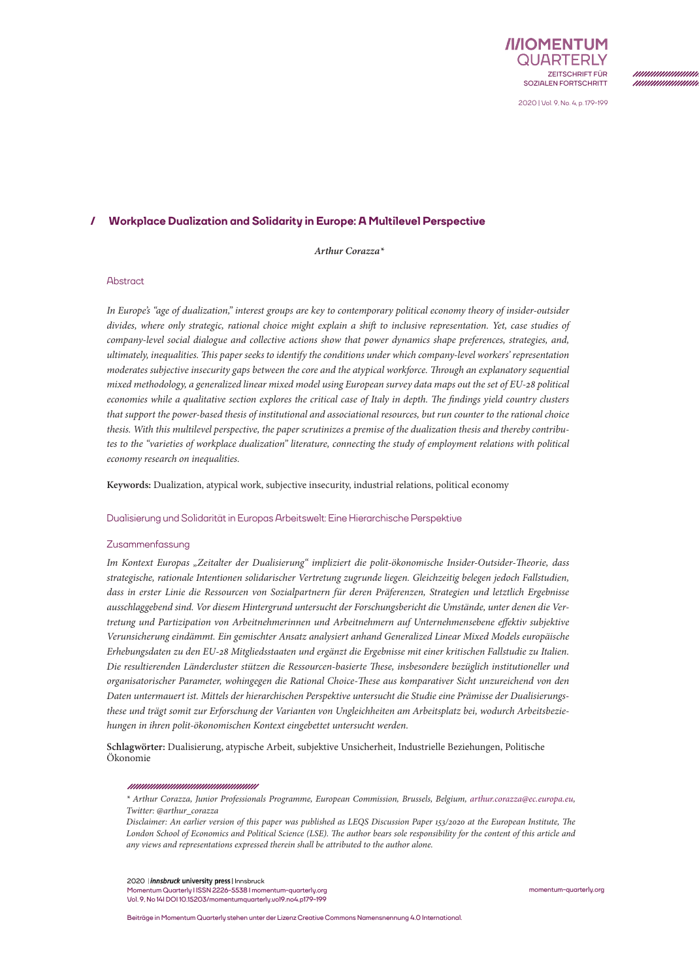

*mmmmmmm mmmmmmn* 

2020 | Vol. 9, No. 4, p. 179-199

# **/ Workplace Dualization and Solidarity in Europe: A Multilevel Perspective**

*Arthur Corazza\**

## Abstract

*In Europe's "age of dualization," interest groups are key to contemporary political economy theory of insider-outsider divides, where only strategic, rational choice might explain a shift to inclusive representation. Yet, case studies of company-level social dialogue and collective actions show that power dynamics shape preferences, strategies, and, ultimately, inequalities. This paper seeks to identify the conditions under which company-level workers' representation moderates subjective insecurity gaps between the core and the atypical workforce. Through an explanatory sequential mixed methodology, a generalized linear mixed model using European survey data maps out the set of EU-28 political economies while a qualitative section explores the critical case of Italy in depth. The findings yield country clusters that support the power-based thesis of institutional and associational resources, but run counter to the rational choice thesis. With this multilevel perspective, the paper scrutinizes a premise of the dualization thesis and thereby contributes to the "varieties of workplace dualization" literature, connecting the study of employment relations with political economy research on inequalities.*

**Keywords:** Dualization, atypical work, subjective insecurity, industrial relations, political economy

#### Dualisierung und Solidarität in Europas Arbeitswelt: Eine Hierarchische Perspektive

#### Zusammenfassung

*Im Kontext Europas "Zeitalter der Dualisierung" impliziert die polit-ökonomische Insider-Outsider-Theorie, dass strategische, rationale Intentionen solidarischer Vertretung zugrunde liegen. Gleichzeitig belegen jedoch Fallstudien, dass in erster Linie die Ressourcen von Sozialpartnern für deren Präferenzen, Strategien und letztlich Ergebnisse ausschlaggebend sind. Vor diesem Hintergrund untersucht der Forschungsbericht die Umstände, unter denen die Vertretung und Partizipation von Arbeitnehmerinnen und Arbeitnehmern auf Unternehmensebene effektiv subjektive Verunsicherung eindämmt. Ein gemischter Ansatz analysiert anhand Generalized Linear Mixed Models europäische Erhebungsdaten zu den EU-28 Mitgliedsstaaten und ergänzt die Ergebnisse mit einer kritischen Fallstudie zu Italien. Die resultierenden Ländercluster stützen die Ressourcen-basierte These, insbesondere bezüglich institutioneller und organisatorischer Parameter, wohingegen die Rational Choice-These aus komparativer Sicht unzureichend von den Daten untermauert ist. Mittels der hierarchischen Perspektive untersucht die Studie eine Prämisse der Dualisierungsthese und trägt somit zur Erforschung der Varianten von Ungleichheiten am Arbeitsplatz bei, wodurch Arbeitsbeziehungen in ihren polit-ökonomischen Kontext eingebettet untersucht werden.* 

**Schlagwörter:** Dualisierung, atypische Arbeit, subjektive Unsicherheit, Industrielle Beziehungen, Politische Ökonomie

#### 

*\* Arthur Corazza, Junior Professionals Programme, European Commission, Brussels, Belgium, [arthur.corazza@ec.europa.eu](mailto:arthur.corazza%40ec.europa.eu?subject=), Twitter: @arthur\_corazza*

2020 | *innsbruck* university press | Innsbruck

**Momentum Quarterly I ISSN 2226-5538 I [momentum-quarterly.org](http://momentum-quarterly.org) Vol. 9, No 14I DOI 10.15203/momentumquarterly.vol9.no4.p179-199** **[momentum-quarterly.org](http://momentum-quarterly.org)**

**Beiträge in Momentum Quarterly stehen unter der Lizenz Creative Commons Namensnennung 4.0 International.**

*Disclaimer: An earlier version of this paper was published as LEQS Discussion Paper 153/2020 at the European Institute, The London School of Economics and Political Science (LSE). The author bears sole responsibility for the content of this article and any views and representations expressed therein shall be attributed to the author alone.*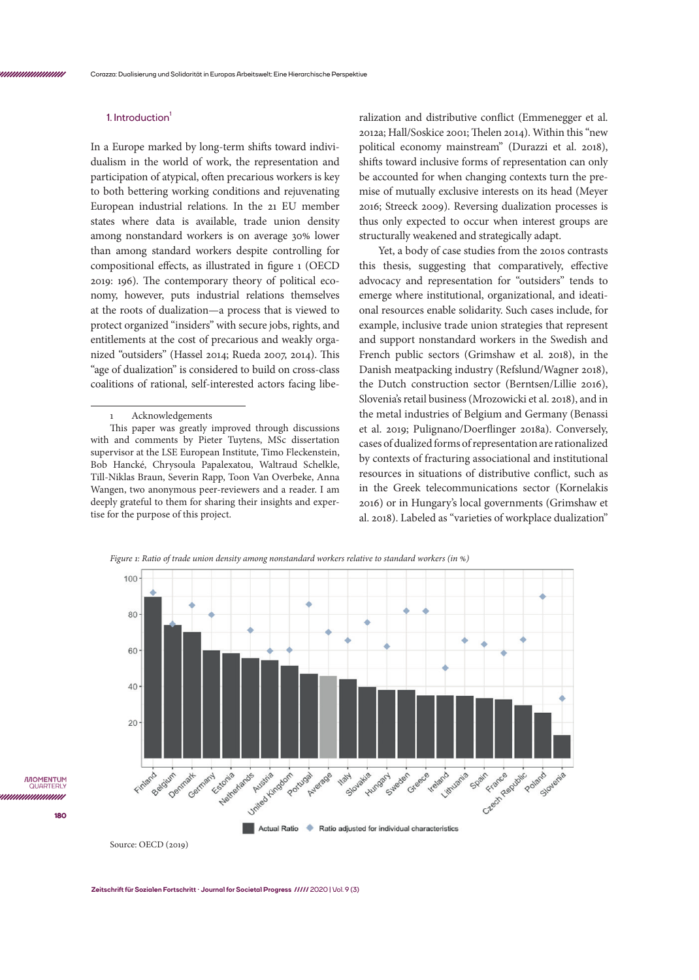# **1. Introduction<sup>1</sup>**

In a Europe marked by long-term shifts toward individualism in the world of work, the representation and participation of atypical, often precarious workers is key to both bettering working conditions and rejuvenating European industrial relations. In the 21 EU member states where data is available, trade union density among nonstandard workers is on average 30% lower than among standard workers despite controlling for compositional effects, as illustrated in figure 1 (OECD 2019: 196). The contemporary theory of political economy, however, puts industrial relations themselves at the roots of dualization—a process that is viewed to protect organized "insiders" with secure jobs, rights, and entitlements at the cost of precarious and weakly organized "outsiders" (Hassel 2014; Rueda 2007, 2014). This "age of dualization" is considered to build on cross-class coalitions of rational, self-interested actors facing libe-

#### **Acknowledgements**

This paper was greatly improved through discussions with and comments by Pieter Tuytens, MSc dissertation supervisor at the LSE European Institute, Timo Fleckenstein, Bob Hancké, Chrysoula Papalexatou, Waltraud Schelkle, Till-Niklas Braun, Severin Rapp, Toon Van Overbeke, Anna Wangen, two anonymous peer-reviewers and a reader. I am deeply grateful to them for sharing their insights and expertise for the purpose of this project.

ralization and distributive conflict (Emmenegger et al. 2012a; Hall/Soskice 2001; Thelen 2014). Within this "new political economy mainstream" (Durazzi et al. 2018), shifts toward inclusive forms of representation can only be accounted for when changing contexts turn the premise of mutually exclusive interests on its head (Meyer 2016; Streeck 2009). Reversing dualization processes is thus only expected to occur when interest groups are structurally weakened and strategically adapt.

Yet, a body of case studies from the 2010s contrasts this thesis, suggesting that comparatively, effective advocacy and representation for "outsiders" tends to emerge where institutional, organizational, and ideational resources enable solidarity. Such cases include, for example, inclusive trade union strategies that represent and support nonstandard workers in the Swedish and French public sectors (Grimshaw et al. 2018), in the Danish meatpacking industry (Refslund/Wagner 2018), the Dutch construction sector (Berntsen/Lillie 2016), Slovenia's retail business (Mrozowicki et al. 2018), and in the metal industries of Belgium and Germany (Benassi et al. 2019; Pulignano/Doerflinger 2018a). Conversely, cases of dualized forms of representation are rationalized by contexts of fracturing associational and institutional resources in situations of distributive conflict, such as in the Greek telecommunications sector (Kornelakis 2016) or in Hungary's local governments (Grimshaw et al. 2018). Labeled as "varieties of workplace dualization"

*Figure 1: Ratio of trade union density among nonstandard workers relative to standard workers (in %)*



Source: OECD (2019)

**180**

*ILOMENTUM* QUARTE unnmunn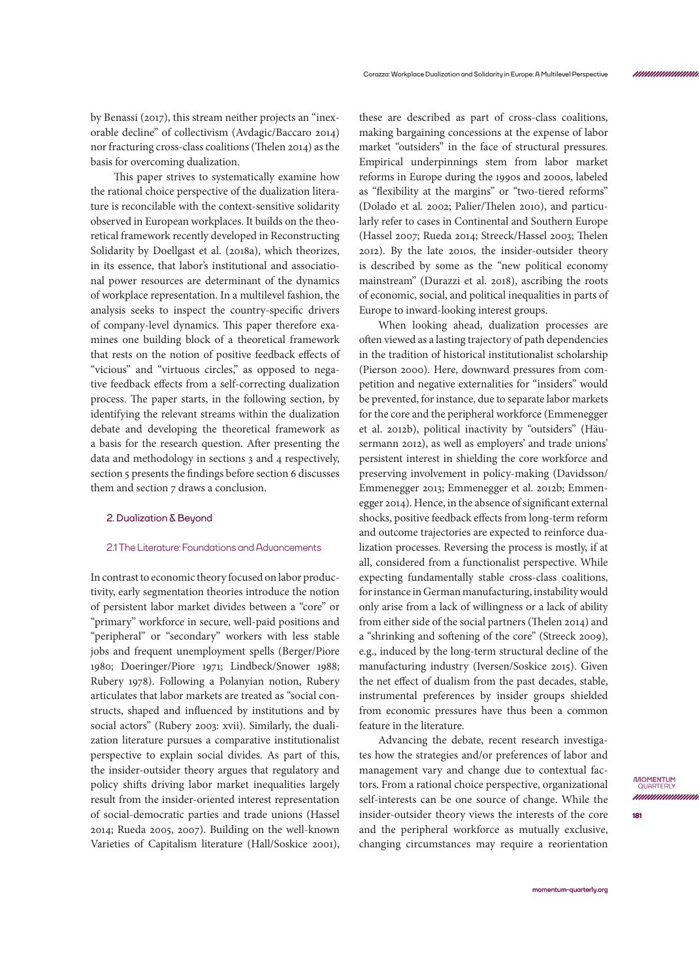by Benassi (2017), this stream neither projects an "inexorable decline" of collectivism (Avdagic/Baccaro 2014) nor fracturing cross-class coalitions (Thelen 2014) as the basis for overcoming dualization.

 This paper strives to systematically examine how the rational choice perspective of the dualization literature is reconcilable with the context-sensitive solidarity observed in European workplaces. It builds on the theoretical framework recently developed in Reconstructing Solidarity by Doellgast et al. (2018a), which theorizes, in its essence, that labor's institutional and associational power resources are determinant of the dynamics of workplace representation. In a multilevel fashion, the analysis seeks to inspect the country-specific drivers of company-level dynamics. This paper therefore examines one building block of a theoretical framework that rests on the notion of positive feedback effects of "vicious" and "virtuous circles," as opposed to negative feedback effects from a self-correcting dualization process. The paper starts, in the following section, by identifying the relevant streams within the dualization debate and developing the theoretical framework as a basis for the research question. After presenting the data and methodology in sections 3 and 4 respectively, section 5 presents the findings before section 6 discusses them and section 7 draws a conclusion.

# **2. Dualization & Beyond**

#### 2.1 The Literature: Foundations and Advancements

In contrast to economic theory focused on labor productivity, early segmentation theories introduce the notion of persistent labor market divides between a "core" or "primary" workforce in secure, well-paid positions and "peripheral" or "secondary" workers with less stable jobs and frequent unemployment spells (Berger/Piore 1980; Doeringer/Piore 1971; Lindbeck/Snower 1988; Rubery 1978). Following a Polanyian notion, Rubery articulates that labor markets are treated as "social constructs, shaped and influenced by institutions and by social actors" (Rubery 2003: xvii). Similarly, the dualization literature pursues a comparative institutionalist perspective to explain social divides. As part of this, the insider-outsider theory argues that regulatory and policy shifts driving labor market inequalities largely result from the insider-oriented interest representation of social-democratic parties and trade unions (Hassel 2014; Rueda 2005, 2007). Building on the well-known Varieties of Capitalism literature (Hall/Soskice 2001),

these are described as part of cross-class coalitions, making bargaining concessions at the expense of labor market "outsiders" in the face of structural pressures. Empirical underpinnings stem from labor market reforms in Europe during the 1990s and 2000s, labeled as "flexibility at the margins" or "two-tiered reforms" (Dolado et al. 2002; Palier/Thelen 2010), and particularly refer to cases in Continental and Southern Europe (Hassel 2007; Rueda 2014; Streeck/Hassel 2003; Thelen 2012). By the late 2010s, the insider-outsider theory is described by some as the "new political economy mainstream" (Durazzi et al. 2018), ascribing the roots of economic, social, and political inequalities in parts of Europe to inward-looking interest groups.

When looking ahead, dualization processes are often viewed as a lasting trajectory of path dependencies in the tradition of historical institutionalist scholarship (Pierson 2000). Here, downward pressures from competition and negative externalities for "insiders" would be prevented, for instance, due to separate labor markets for the core and the peripheral workforce (Emmenegger et al. 2012b), political inactivity by "outsiders" (Häusermann 2012), as well as employers' and trade unions' persistent interest in shielding the core workforce and preserving involvement in policy-making (Davidsson/ Emmenegger 2013; Emmenegger et al. 2012b; Emmenegger 2014). Hence, in the absence of significant external shocks, positive feedback effects from long-term reform and outcome trajectories are expected to reinforce dualization processes. Reversing the process is mostly, if at all, considered from a functionalist perspective. While expecting fundamentally stable cross-class coalitions, for instance in German manufacturing, instability would only arise from a lack of willingness or a lack of ability from either side of the social partners (Thelen 2014) and a "shrinking and softening of the core" (Streeck 2009), e.g., induced by the long-term structural decline of the manufacturing industry (Iversen/Soskice 2015). Given the net effect of dualism from the past decades, stable, instrumental preferences by insider groups shielded from economic pressures have thus been a common feature in the literature.

Advancing the debate, recent research investigates how the strategies and/or preferences of labor and management vary and change due to contextual factors. From a rational choice perspective, organizational self-interests can be one source of change. While the insider-outsider theory views the interests of the core and the peripheral workforce as mutually exclusive, changing circumstances may require a reorientation

*mummmmmn*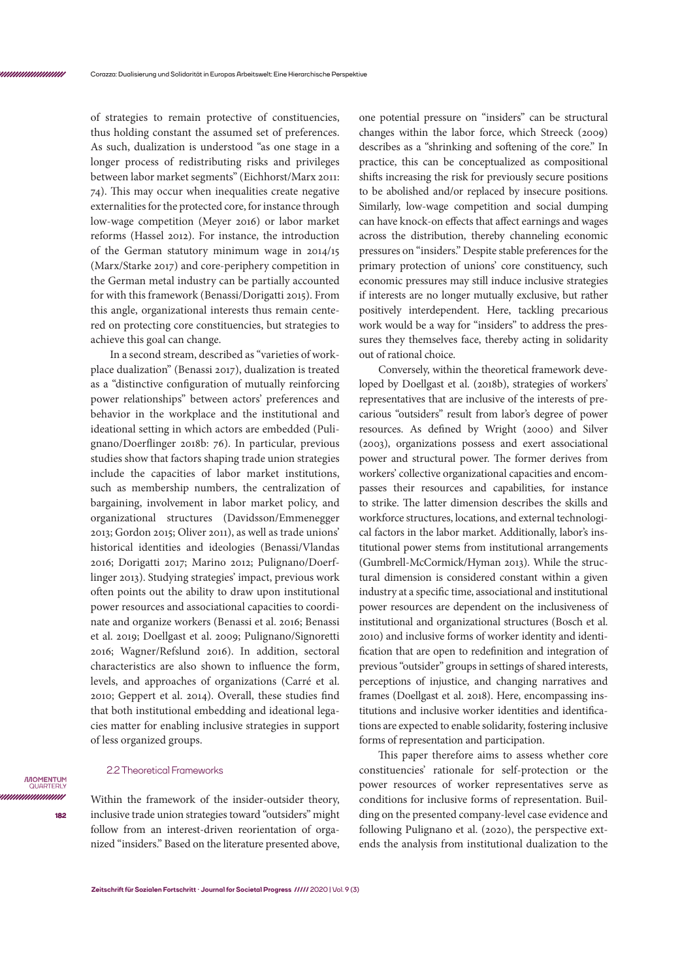of strategies to remain protective of constituencies, thus holding constant the assumed set of preferences. As such, dualization is understood "as one stage in a longer process of redistributing risks and privileges between labor market segments" (Eichhorst/Marx 2011: 74). This may occur when inequalities create negative externalities for the protected core, for instance through low-wage competition (Meyer 2016) or labor market reforms (Hassel 2012). For instance, the introduction of the German statutory minimum wage in 2014/15 (Marx/Starke 2017) and core-periphery competition in the German metal industry can be partially accounted for with this framework (Benassi/Dorigatti 2015). From this angle, organizational interests thus remain centered on protecting core constituencies, but strategies to achieve this goal can change.

In a second stream, described as "varieties of workplace dualization" (Benassi 2017), dualization is treated as a "distinctive configuration of mutually reinforcing power relationships" between actors' preferences and behavior in the workplace and the institutional and ideational setting in which actors are embedded (Pulignano/Doerflinger 2018b: 76). In particular, previous studies show that factors shaping trade union strategies include the capacities of labor market institutions, such as membership numbers, the centralization of bargaining, involvement in labor market policy, and organizational structures (Davidsson/Emmenegger 2013; Gordon 2015; Oliver 2011), as well as trade unions' historical identities and ideologies (Benassi/Vlandas 2016; Dorigatti 2017; Marino 2012; Pulignano/Doerflinger 2013). Studying strategies' impact, previous work often points out the ability to draw upon institutional power resources and associational capacities to coordinate and organize workers (Benassi et al. 2016; Benassi et al. 2019; Doellgast et al. 2009; Pulignano/Signoretti 2016; Wagner/Refslund 2016). In addition, sectoral characteristics are also shown to influence the form, levels, and approaches of organizations (Carré et al. 2010; Geppert et al. 2014). Overall, these studies find that both institutional embedding and ideational legacies matter for enabling inclusive strategies in support of less organized groups.

## 2.2 Theoretical Frameworks

**182**

**IMOMENTUM** QUARTER unnunnun

Within the framework of the insider-outsider theory, inclusive trade union strategies toward "outsiders" might follow from an interest-driven reorientation of organized "insiders." Based on the literature presented above,

one potential pressure on "insiders" can be structural changes within the labor force, which Streeck (2009) describes as a "shrinking and softening of the core." In practice, this can be conceptualized as compositional shifts increasing the risk for previously secure positions to be abolished and/or replaced by insecure positions. Similarly, low-wage competition and social dumping can have knock-on effects that affect earnings and wages across the distribution, thereby channeling economic pressures on "insiders." Despite stable preferences for the primary protection of unions' core constituency, such economic pressures may still induce inclusive strategies if interests are no longer mutually exclusive, but rather positively interdependent. Here, tackling precarious work would be a way for "insiders" to address the pressures they themselves face, thereby acting in solidarity out of rational choice.

Conversely, within the theoretical framework developed by Doellgast et al. (2018b), strategies of workers' representatives that are inclusive of the interests of precarious "outsiders" result from labor's degree of power resources. As defined by Wright (2000) and Silver (2003), organizations possess and exert associational power and structural power. The former derives from workers' collective organizational capacities and encompasses their resources and capabilities, for instance to strike. The latter dimension describes the skills and workforce structures, locations, and external technological factors in the labor market. Additionally, labor's institutional power stems from institutional arrangements (Gumbrell-McCormick/Hyman 2013). While the structural dimension is considered constant within a given industry at a specific time, associational and institutional power resources are dependent on the inclusiveness of institutional and organizational structures (Bosch et al. 2010) and inclusive forms of worker identity and identification that are open to redefinition and integration of previous "outsider" groups in settings of shared interests, perceptions of injustice, and changing narratives and frames (Doellgast et al. 2018). Here, encompassing institutions and inclusive worker identities and identifications are expected to enable solidarity, fostering inclusive forms of representation and participation.

This paper therefore aims to assess whether core constituencies' rationale for self-protection or the power resources of worker representatives serve as conditions for inclusive forms of representation. Building on the presented company-level case evidence and following Pulignano et al. (2020), the perspective extends the analysis from institutional dualization to the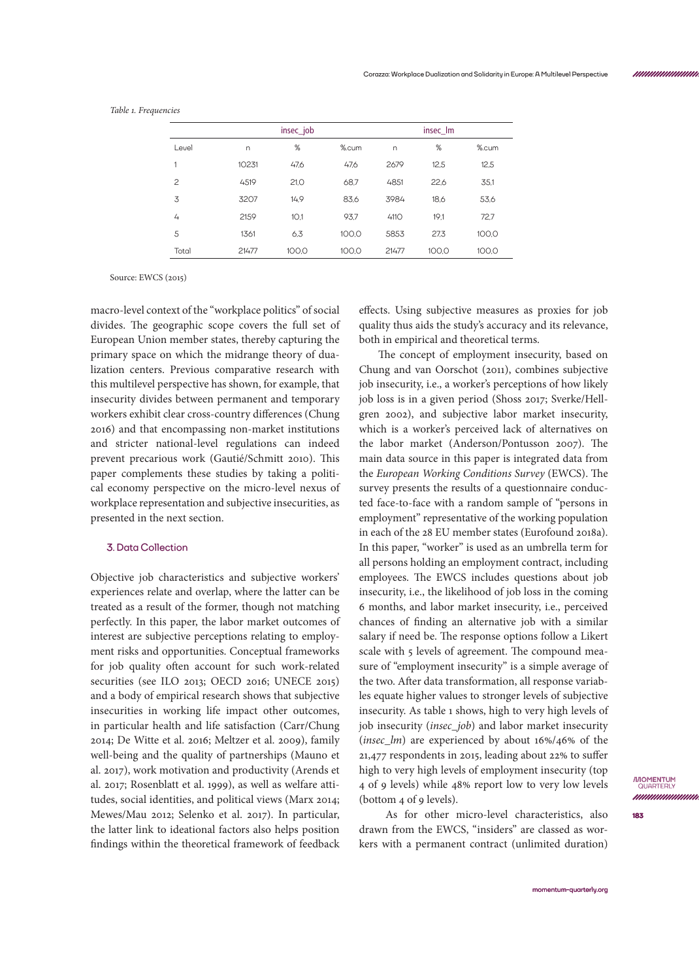|                |       | insec_job |       | insec_lm |       |       |  |  |
|----------------|-------|-----------|-------|----------|-------|-------|--|--|
| Level          | n     | %         | %.cum | n        | %     | %.cum |  |  |
| 1              | 10231 | 47,6      | 47.6  | 2679     | 12.5  | 12.5  |  |  |
| $\overline{c}$ | 4519  | 21,0      | 68.7  | 4851     | 22,6  | 35.1  |  |  |
| 3              | 3207  | 14,9      | 83,6  | 3984     | 18,6  | 53.6  |  |  |
| 4              | 2159  | 10.1      | 93,7  | 4110     | 19,1  | 72,7  |  |  |
| 5              | 1361  | 6,3       | 100.0 | 5853     | 27.3  | 100.0 |  |  |
| Total          | 21477 | 100.0     | 100.0 | 21477    | 100.0 | 100.0 |  |  |

*Table 1. Frequencies*

Source: EWCS (2015)

macro-level context of the "workplace politics" of social divides. The geographic scope covers the full set of European Union member states, thereby capturing the primary space on which the midrange theory of dualization centers. Previous comparative research with this multilevel perspective has shown, for example, that insecurity divides between permanent and temporary workers exhibit clear cross-country differences (Chung 2016) and that encompassing non-market institutions and stricter national-level regulations can indeed prevent precarious work (Gautié/Schmitt 2010). This paper complements these studies by taking a political economy perspective on the micro-level nexus of workplace representation and subjective insecurities, as presented in the next section.

## **3. Data Collection**

Objective job characteristics and subjective workers' experiences relate and overlap, where the latter can be treated as a result of the former, though not matching perfectly. In this paper, the labor market outcomes of interest are subjective perceptions relating to employment risks and opportunities. Conceptual frameworks for job quality often account for such work-related securities (see ILO 2013; OECD 2016; UNECE 2015) and a body of empirical research shows that subjective insecurities in working life impact other outcomes, in particular health and life satisfaction (Carr/Chung 2014; De Witte et al. 2016; Meltzer et al. 2009), family well-being and the quality of partnerships (Mauno et al. 2017), work motivation and productivity (Arends et al. 2017; Rosenblatt et al. 1999), as well as welfare attitudes, social identities, and political views (Marx 2014; Mewes/Mau 2012; Selenko et al. 2017). In particular, the latter link to ideational factors also helps position findings within the theoretical framework of feedback

effects. Using subjective measures as proxies for job quality thus aids the study's accuracy and its relevance, both in empirical and theoretical terms.

The concept of employment insecurity, based on Chung and van Oorschot (2011), combines subjective job insecurity, i.e., a worker's perceptions of how likely job loss is in a given period (Shoss 2017; Sverke/Hellgren 2002), and subjective labor market insecurity, which is a worker's perceived lack of alternatives on the labor market (Anderson/Pontusson 2007). The main data source in this paper is integrated data from the *European Working Conditions Survey* (EWCS). The survey presents the results of a questionnaire conducted face-to-face with a random sample of "persons in employment" representative of the working population in each of the 28 EU member states (Eurofound 2018a). In this paper, "worker" is used as an umbrella term for all persons holding an employment contract, including employees. The EWCS includes questions about job insecurity, i.e., the likelihood of job loss in the coming 6 months, and labor market insecurity, i.e., perceived chances of finding an alternative job with a similar salary if need be. The response options follow a Likert scale with 5 levels of agreement. The compound measure of "employment insecurity" is a simple average of the two. After data transformation, all response variables equate higher values to stronger levels of subjective insecurity. As table 1 shows, high to very high levels of job insecurity (*insec\_job*) and labor market insecurity (*insec\_lm*) are experienced by about 16%/46% of the 21,477 respondents in 2015, leading about 22% to suffer high to very high levels of employment insecurity (top 4 of 9 levels) while 48% report low to very low levels (bottom 4 of 9 levels).

 As for other micro-level characteristics, also drawn from the EWCS, "insiders" are classed as workers with a permanent contract (unlimited duration) **IMOMENTUM**<br>QUARTERLY nnnnmmmm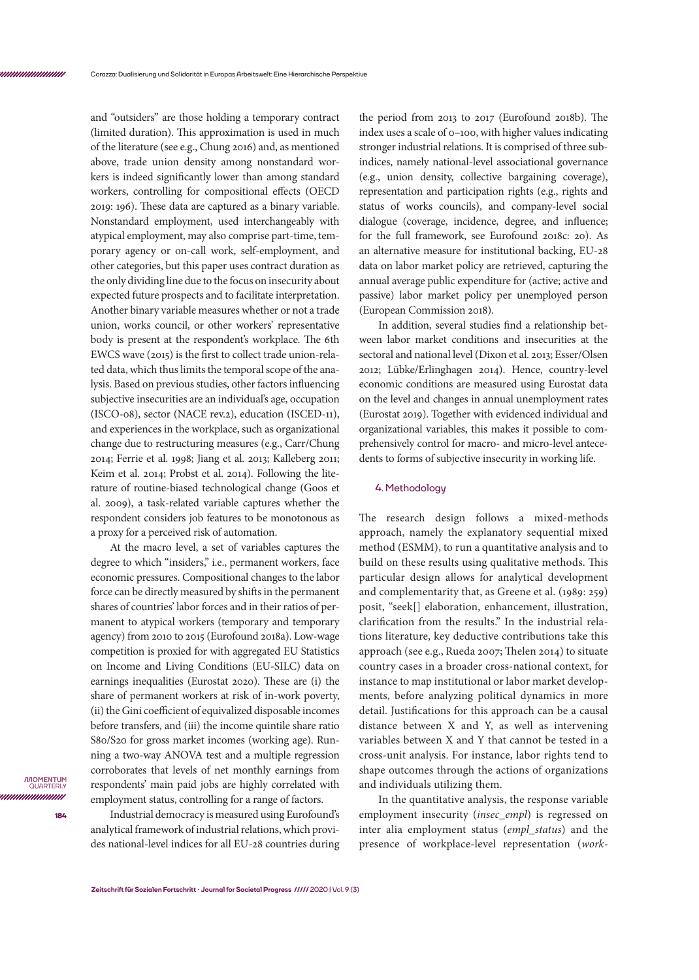and "outsiders" are those holding a temporary contract (limited duration). This approximation is used in much of the literature (see e.g., Chung 2016) and, as mentioned above, trade union density among nonstandard workers is indeed significantly lower than among standard workers, controlling for compositional effects (OECD 2019: 196). These data are captured as a binary variable. Nonstandard employment, used interchangeably with atypical employment, may also comprise part-time, temporary agency or on-call work, self-employment, and other categories, but this paper uses contract duration as the only dividing line due to the focus on insecurity about expected future prospects and to facilitate interpretation. Another binary variable measures whether or not a trade union, works council, or other workers' representative body is present at the respondent's workplace. The 6th EWCS wave (2015) is the first to collect trade union-related data, which thus limits the temporal scope of the analysis. Based on previous studies, other factors influencing subjective insecurities are an individual's age, occupation (ISCO-08), sector (NACE rev.2), education (ISCED-11), and experiences in the workplace, such as organizational change due to restructuring measures (e.g., Carr/Chung 2014; Ferrie et al. 1998; Jiang et al. 2013; Kalleberg 2011; Keim et al. 2014; Probst et al. 2014). Following the literature of routine-biased technological change (Goos et al. 2009), a task-related variable captures whether the respondent considers job features to be monotonous as a proxy for a perceived risk of automation.

At the macro level, a set of variables captures the degree to which "insiders," i.e., permanent workers, face economic pressures. Compositional changes to the labor force can be directly measured by shifts in the permanent shares of countries' labor forces and in their ratios of permanent to atypical workers (temporary and temporary agency) from 2010 to 2015 (Eurofound 2018a). Low-wage competition is proxied for with aggregated EU Statistics on Income and Living Conditions (EU-SILC) data on earnings inequalities (Eurostat 2020). These are (i) the share of permanent workers at risk of in-work poverty, (ii) the Gini coefficient of equivalized disposable incomes before transfers, and (iii) the income quintile share ratio S80/S20 for gross market incomes (working age). Running a two-way ANOVA test and a multiple regression corroborates that levels of net monthly earnings from respondents' main paid jobs are highly correlated with employment status, controlling for a range of factors.

Industrial democracy is measured using Eurofound's analytical framework of industrial relations, which provides national-level indices for all EU-28 countries during

the period from 2013 to 2017 (Eurofound 2018b). The index uses a scale of 0–100, with higher values indicating stronger industrial relations. It is comprised of three subindices, namely national-level associational governance (e.g., union density, collective bargaining coverage), representation and participation rights (e.g., rights and status of works councils), and company-level social dialogue (coverage, incidence, degree, and influence; for the full framework, see Eurofound 2018c: 20). As an alternative measure for institutional backing, EU-28 data on labor market policy are retrieved, capturing the annual average public expenditure for (active; active and passive) labor market policy per unemployed person (European Commission 2018).

In addition, several studies find a relationship between labor market conditions and insecurities at the sectoral and national level (Dixon et al. 2013; Esser/Olsen 2012; Lübke/Erlinghagen 2014). Hence, country-level economic conditions are measured using Eurostat data on the level and changes in annual unemployment rates (Eurostat 2019). Together with evidenced individual and organizational variables, this makes it possible to comprehensively control for macro- and micro-level antecedents to forms of subjective insecurity in working life.

## **4. Methodology**

The research design follows a mixed-methods approach, namely the explanatory sequential mixed method (ESMM), to run a quantitative analysis and to build on these results using qualitative methods. This particular design allows for analytical development and complementarity that, as Greene et al. (1989: 259) posit, "seek[] elaboration, enhancement, illustration, clarification from the results." In the industrial relations literature, key deductive contributions take this approach (see e.g., Rueda 2007; Thelen 2014) to situate country cases in a broader cross-national context, for instance to map institutional or labor market developments, before analyzing political dynamics in more detail. Justifications for this approach can be a causal distance between X and Y, as well as intervening variables between X and Y that cannot be tested in a cross-unit analysis. For instance, labor rights tend to shape outcomes through the actions of organizations and individuals utilizing them.

In the quantitative analysis, the response variable employment insecurity (*insec\_empl*) is regressed on inter alia employment status (*empl\_status*) and the presence of workplace-level representation (*work-*

*IMOMENTUM* QUARTEI unnunnun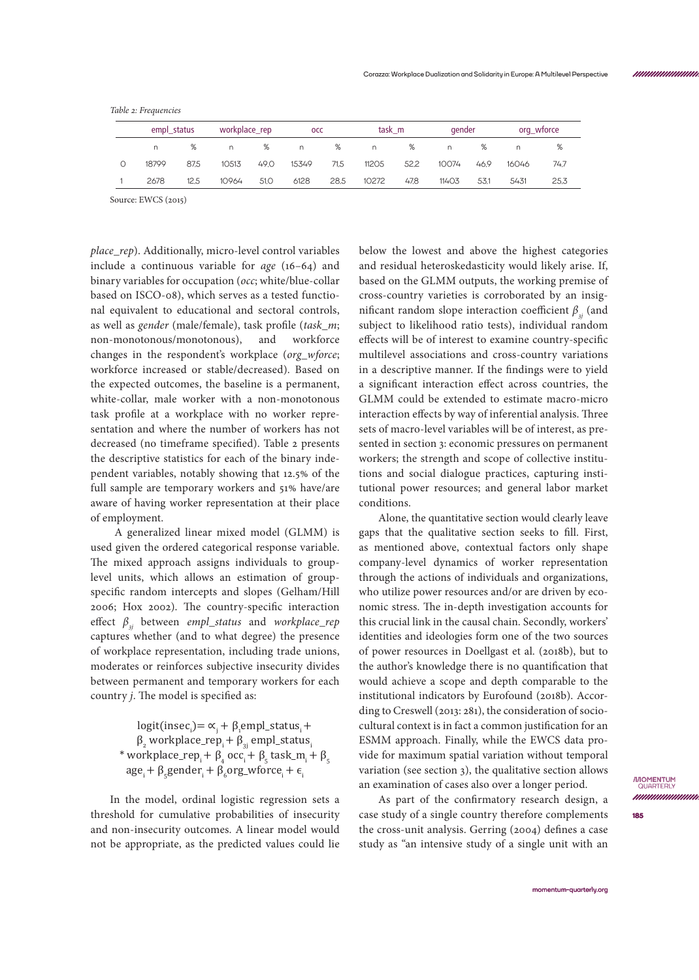*Table 2: Frequencies*

| empl status |      |       | workplace_rep |       | <b>OCC</b> |       | task m |       | gender |       | org_wforce |  |
|-------------|------|-------|---------------|-------|------------|-------|--------|-------|--------|-------|------------|--|
|             | %    | n     | %             | n     | %          | n.    | %      | n.    | %      | n     | %          |  |
| 18799       | 87.5 | 10513 | 49.0          | 15349 | 71.5       | 11205 | 52.2   | 10074 | 46.9   | 16046 | 74.7       |  |
| 2678        | 12.5 | 10964 | 51.O          | 6128  | 28.5       | 10272 | 47.8   | 11403 | 53.1   | 5431  | 25.3       |  |

Source: EWCS (2015)

*place\_rep*). Additionally, micro-level control variables include a continuous variable for *age* (16–64) and binary variables for occupation (*occ*; white/blue-collar based on ISCO-08), which serves as a tested functional equivalent to educational and sectoral controls, as well as *gender* (male/female), task profile (*task\_m*; non-monotonous/monotonous), and workforce changes in the respondent's workplace (*org\_wforce*; workforce increased or stable/decreased). Based on the expected outcomes, the baseline is a permanent, white-collar, male worker with a non-monotonous task profile at a workplace with no worker representation and where the number of workers has not decreased (no timeframe specified). Table 2 presents the descriptive statistics for each of the binary independent variables, notably showing that 12.5% of the full sample are temporary workers and 51% have/are aware of having worker representation at their place of employment.

 A generalized linear mixed model (GLMM) is used given the ordered categorical response variable. The mixed approach assigns individuals to grouplevel units, which allows an estimation of groupspecific random intercepts and slopes (Gelham/Hill 2006; Hox 2002). The country-specific interaction effect *β3j* between *empl\_status* and *workplace\_rep* captures whether (and to what degree) the presence of workplace representation, including trade unions, moderates or reinforces subjective insecurity divides between permanent and temporary workers for each country *j*. The model is specified as:

> $logit (insec_{i}) = \alpha_{i} + \beta_{i}$ empl\_status<sub>i</sub> +  $\beta_{2}$  workplace\_re $p_{i} + \beta_{3j}$  empl\_status $_{i}$ \* workplace\_re $p_i + \beta_4 \text{ occ}_i + \beta_5 \text{ task\_m}_i + \beta_5$  $age_{i} + \beta_{5} gender_{i} + \beta_{6} org\_wtorce_{i} + \epsilon_{i}$

In the model, ordinal logistic regression sets a threshold for cumulative probabilities of insecurity and non-insecurity outcomes. A linear model would not be appropriate, as the predicted values could lie below the lowest and above the highest categories and residual heteroskedasticity would likely arise. If, based on the GLMM outputs, the working premise of cross-country varieties is corroborated by an insignificant random slope interaction coefficient  $\beta_{3}$  (and subject to likelihood ratio tests), individual random effects will be of interest to examine country-specific multilevel associations and cross-country variations in a descriptive manner. If the findings were to yield a significant interaction effect across countries, the GLMM could be extended to estimate macro-micro interaction effects by way of inferential analysis. Three sets of macro-level variables will be of interest, as presented in section 3: economic pressures on permanent workers; the strength and scope of collective institutions and social dialogue practices, capturing institutional power resources; and general labor market conditions.

Alone, the quantitative section would clearly leave gaps that the qualitative section seeks to fill. First, as mentioned above, contextual factors only shape company-level dynamics of worker representation through the actions of individuals and organizations, who utilize power resources and/or are driven by economic stress. The in-depth investigation accounts for this crucial link in the causal chain. Secondly, workers' identities and ideologies form one of the two sources of power resources in Doellgast et al. (2018b), but to the author's knowledge there is no quantification that would achieve a scope and depth comparable to the institutional indicators by Eurofound (2018b). According to Creswell (2013: 281), the consideration of sociocultural context is in fact a common justification for an ESMM approach. Finally, while the EWCS data provide for maximum spatial variation without temporal variation (see section 3), the qualitative section allows an examination of cases also over a longer period.

As part of the confirmatory research design, a case study of a single country therefore complements the cross-unit analysis. Gerring (2004) defines a case study as "an intensive study of a single unit with an

**MOMENTUM**<br>QUARTERLY nnnnmmmm

**[momentum-quarterly.org](http://momentum-quarterly.org)**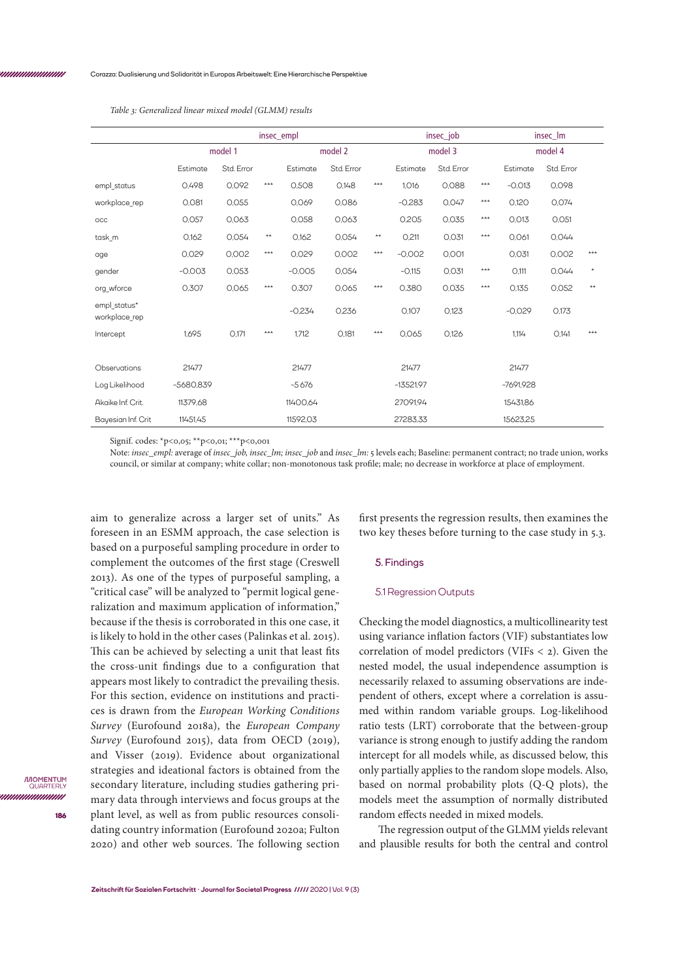**186**

*IMOMENTUM* QUARTER unnunnun

|                               | insec_empl  |            |              |          |            |                 | insec_job   |            |         | insec_lm    |            |         |
|-------------------------------|-------------|------------|--------------|----------|------------|-----------------|-------------|------------|---------|-------------|------------|---------|
|                               | model 1     |            | model 2      |          |            | model 3         |             |            | model 4 |             |            |         |
|                               | Estimate    | Std. Error |              | Estimate | Std. Error |                 | Estimate    | Std. Error |         | Estimate    | Std. Error |         |
| empl status                   | 0.498       | 0,092      | ***          | 0.508    | 0,148      | $***$           | 1,016       | 0,088      | $***$   | $-0.013$    | 0,098      |         |
| workplace rep                 | 0,081       | 0,055      |              | 0.069    | 0,086      |                 | $-0.283$    | 0.047      | $***$   | 0.120       | 0.074      |         |
| OCC                           | 0,057       | 0,063      |              | 0,058    | 0,063      |                 | 0.205       | 0,035      | $***$   | 0,013       | 0,051      |         |
| task_m                        | 0,162       | 0,054      | $\star\star$ | 0.162    | 0,054      | $^{\star\star}$ | O,211       | 0,031      | $***$   | 0.061       | 0.044      |         |
| age                           | 0,029       | 0,002      | ***          | 0,029    | 0,002      | $***$           | $-0,002$    | 0,001      |         | 0,031       | 0,002      | $***$   |
| gender                        | $-0,003$    | 0,053      |              | $-0,005$ | 0,054      |                 | $-0.115$    | O, 031     | $***$   | O.111       | 0,044      | $\star$ |
| org wforce                    | 0,307       | 0,065      | ***          | 0,307    | 0,065      | ***             | 0.380       | 0,035      | $***$   | 0.135       | 0,052      | $***$   |
| empl status*<br>workplace rep |             |            |              | $-0,234$ | 0,236      |                 | O.107       | 0,123      |         | $-0.029$    | O.173      |         |
| Intercept                     | 1.695       | O.171      | $***$        | 1,712    | O,181      | $***$           | 0.065       | 0.126      |         | 1.114       | O.141      | ***     |
|                               |             |            |              |          |            |                 |             |            |         |             |            |         |
| Observations                  | 21477       |            |              | 21477    |            |                 | 21477       |            |         | 21477       |            |         |
| Log Likelihood                | $-5680.839$ |            |              | $-5676$  |            |                 | $-13521.97$ |            |         | $-7691.928$ |            |         |
| Akaike Inf. Crit.             | 11379.68    |            |              | 11400.64 |            |                 | 27091.94    |            |         | 15431.86    |            |         |
| Bayesian Inf. Crit            | 11451,45    |            |              | 11592,03 |            |                 | 27283.33    |            |         | 15623,25    |            |         |

*Table 3: Generalized linear mixed model (GLMM) results*

Signif. codes: \*p<0,05; \*\*p<0,01; \*\*\*p<0,001

Note: *insec\_empl:* average of *insec\_job, insec\_lm; insec\_job* and *insec\_lm:* 5 levels each; Baseline: permanent contract; no trade union, works council, or similar at company; white collar; non-monotonous task profile; male; no decrease in workforce at place of employment.

aim to generalize across a larger set of units." As foreseen in an ESMM approach, the case selection is based on a purposeful sampling procedure in order to complement the outcomes of the first stage (Creswell 2013). As one of the types of purposeful sampling, a "critical case" will be analyzed to "permit logical generalization and maximum application of information," because if the thesis is corroborated in this one case, it is likely to hold in the other cases (Palinkas et al. 2015). This can be achieved by selecting a unit that least fits the cross-unit findings due to a configuration that appears most likely to contradict the prevailing thesis. For this section, evidence on institutions and practices is drawn from the *European Working Conditions Survey* (Eurofound 2018a), the *European Company Survey* (Eurofound 2015), data from OECD (2019), and Visser (2019). Evidence about organizational strategies and ideational factors is obtained from the secondary literature, including studies gathering primary data through interviews and focus groups at the plant level, as well as from public resources consolidating country information (Eurofound 2020a; Fulton 2020) and other web sources. The following section

first presents the regression results, then examines the two key theses before turning to the case study in 5.3.

### **5. Findings**

## 5.1 Regression Outputs

Checking the model diagnostics, a multicollinearity test using variance inflation factors (VIF) substantiates low correlation of model predictors (VIFs < 2). Given the nested model, the usual independence assumption is necessarily relaxed to assuming observations are independent of others, except where a correlation is assumed within random variable groups. Log-likelihood ratio tests (LRT) corroborate that the between-group variance is strong enough to justify adding the random intercept for all models while, as discussed below, this only partially applies to the random slope models. Also, based on normal probability plots (Q-Q plots), the models meet the assumption of normally distributed random effects needed in mixed models.

The regression output of the GLMM yields relevant and plausible results for both the central and control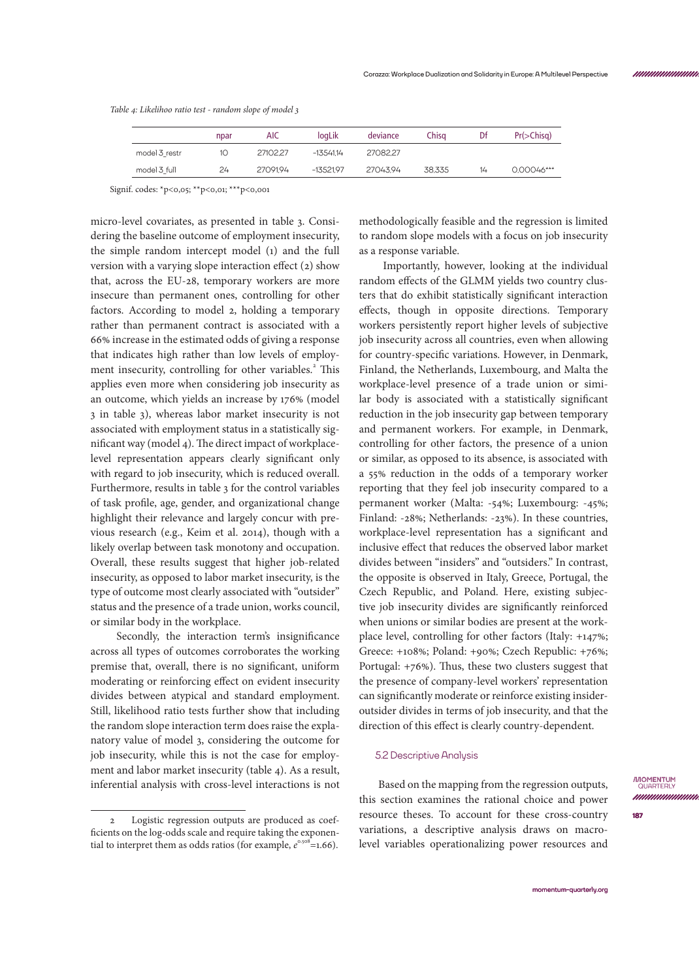*Table 4: Likelihoo ratio test - random slope of model 3*

|               | npar | <b>AIC</b> | loaLik      | deviance | Chisa  | Df | $Pr(>\righttriangle Chisq)$ |
|---------------|------|------------|-------------|----------|--------|----|-----------------------------|
| model 3 restr | 10   | 27102.27   | $-1354114$  | 27082.27 |        |    |                             |
| model 3 full  | 24   | 2709194    | $-13521.97$ | 27043.94 | 38.335 | 14 | 0.00046***                  |

Signif. codes: \*p<0,05; \*\*p<0,01; \*\*\*p<0,001

micro-level covariates, as presented in table 3. Considering the baseline outcome of employment insecurity, the simple random intercept model (1) and the full version with a varying slope interaction effect (2) show that, across the EU-28, temporary workers are more insecure than permanent ones, controlling for other factors. According to model 2, holding a temporary rather than permanent contract is associated with a 66% increase in the estimated odds of giving a response that indicates high rather than low levels of employment insecurity, controlling for other variables.<sup>2</sup> This applies even more when considering job insecurity as an outcome, which yields an increase by 176% (model 3 in table 3), whereas labor market insecurity is not associated with employment status in a statistically significant way (model 4). The direct impact of workplacelevel representation appears clearly significant only with regard to job insecurity, which is reduced overall. Furthermore, results in table 3 for the control variables of task profile, age, gender, and organizational change highlight their relevance and largely concur with previous research (e.g., Keim et al. 2014), though with a likely overlap between task monotony and occupation. Overall, these results suggest that higher job-related insecurity, as opposed to labor market insecurity, is the type of outcome most clearly associated with "outsider" status and the presence of a trade union, works council, or similar body in the workplace.

 Secondly, the interaction term's insignificance across all types of outcomes corroborates the working premise that, overall, there is no significant, uniform moderating or reinforcing effect on evident insecurity divides between atypical and standard employment. Still, likelihood ratio tests further show that including the random slope interaction term does raise the explanatory value of model 3, considering the outcome for job insecurity, while this is not the case for employment and labor market insecurity (table 4). As a result, inferential analysis with cross-level interactions is not

methodologically feasible and the regression is limited to random slope models with a focus on job insecurity as a response variable.

 Importantly, however, looking at the individual random effects of the GLMM yields two country clusters that do exhibit statistically significant interaction effects, though in opposite directions. Temporary workers persistently report higher levels of subjective job insecurity across all countries, even when allowing for country-specific variations. However, in Denmark, Finland, the Netherlands, Luxembourg, and Malta the workplace-level presence of a trade union or similar body is associated with a statistically significant reduction in the job insecurity gap between temporary and permanent workers. For example, in Denmark, controlling for other factors, the presence of a union or similar, as opposed to its absence, is associated with a 55% reduction in the odds of a temporary worker reporting that they feel job insecurity compared to a permanent worker (Malta: -54%; Luxembourg: -45%; Finland: -28%; Netherlands: -23%). In these countries, workplace-level representation has a significant and inclusive effect that reduces the observed labor market divides between "insiders" and "outsiders." In contrast, the opposite is observed in Italy, Greece, Portugal, the Czech Republic, and Poland. Here, existing subjective job insecurity divides are significantly reinforced when unions or similar bodies are present at the workplace level, controlling for other factors (Italy: +147%; Greece: +108%; Poland: +90%; Czech Republic: +76%; Portugal: +76%). Thus, these two clusters suggest that the presence of company-level workers' representation can significantly moderate or reinforce existing insideroutsider divides in terms of job insecurity, and that the direction of this effect is clearly country-dependent.

# 5.2 Descriptive Analysis

Based on the mapping from the regression outputs, this section examines the rational choice and power resource theses. To account for these cross-country variations, a descriptive analysis draws on macrolevel variables operationalizing power resources and **IMOMENTUM**<br>QUARTERLY nnnnmmmm

Logistic regression outputs are produced as coefficients on the log-odds scale and require taking the exponential to interpret them as odds ratios (for example,  $e^{\cos\theta}$ =1.66).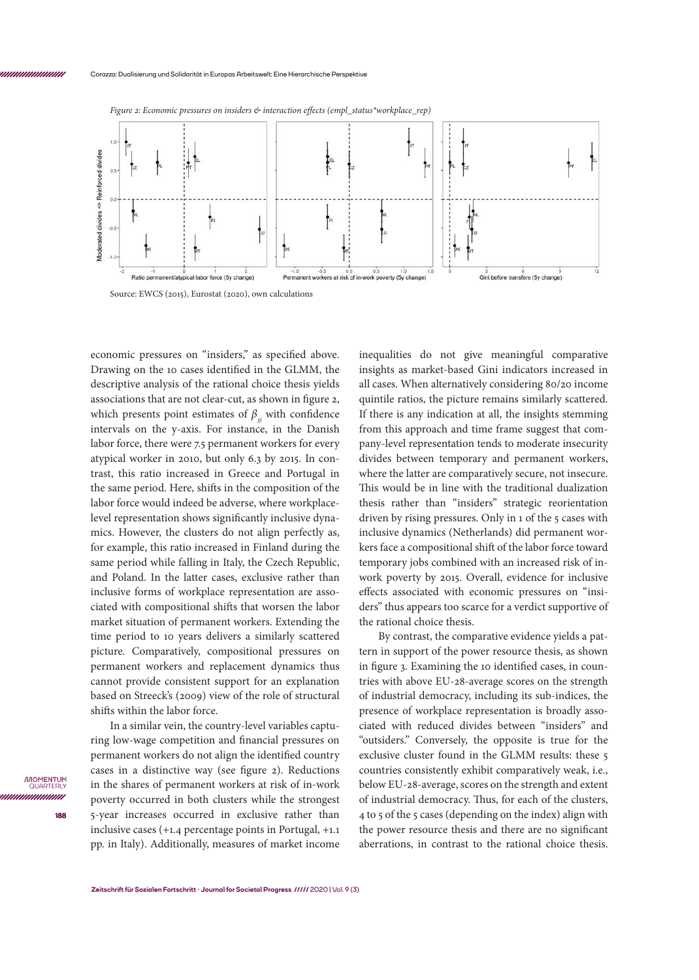

*Figure 2: Economic pressures on insiders & interaction effects (empl\_status\*workplace\_rep)*

Source: EWCS (2015), Eurostat (2020), own calculations

economic pressures on "insiders," as specified above. Drawing on the 10 cases identified in the GLMM, the descriptive analysis of the rational choice thesis yields associations that are not clear-cut, as shown in figure 2, which presents point estimates of  $\beta_{3}$  with confidence intervals on the y-axis. For instance, in the Danish labor force, there were 7.5 permanent workers for every atypical worker in 2010, but only 6.3 by 2015. In contrast, this ratio increased in Greece and Portugal in the same period. Here, shifts in the composition of the labor force would indeed be adverse, where workplacelevel representation shows significantly inclusive dynamics. However, the clusters do not align perfectly as, for example, this ratio increased in Finland during the same period while falling in Italy, the Czech Republic, and Poland. In the latter cases, exclusive rather than inclusive forms of workplace representation are associated with compositional shifts that worsen the labor market situation of permanent workers. Extending the time period to 10 years delivers a similarly scattered picture. Comparatively, compositional pressures on permanent workers and replacement dynamics thus cannot provide consistent support for an explanation based on Streeck's (2009) view of the role of structural shifts within the labor force.

In a similar vein, the country-level variables capturing low-wage competition and financial pressures on permanent workers do not align the identified country cases in a distinctive way (see figure 2). Reductions in the shares of permanent workers at risk of in-work poverty occurred in both clusters while the strongest 5-year increases occurred in exclusive rather than inclusive cases (+1.4 percentage points in Portugal, +1.1 pp. in Italy). Additionally, measures of market income

inequalities do not give meaningful comparative insights as market-based Gini indicators increased in all cases. When alternatively considering 80/20 income quintile ratios, the picture remains similarly scattered. If there is any indication at all, the insights stemming from this approach and time frame suggest that company-level representation tends to moderate insecurity divides between temporary and permanent workers, where the latter are comparatively secure, not insecure. This would be in line with the traditional dualization thesis rather than "insiders" strategic reorientation driven by rising pressures. Only in 1 of the 5 cases with inclusive dynamics (Netherlands) did permanent workers face a compositional shift of the labor force toward temporary jobs combined with an increased risk of inwork poverty by 2015. Overall, evidence for inclusive effects associated with economic pressures on "insiders" thus appears too scarce for a verdict supportive of the rational choice thesis.

By contrast, the comparative evidence yields a pattern in support of the power resource thesis, as shown in figure 3. Examining the 10 identified cases, in countries with above EU-28-average scores on the strength of industrial democracy, including its sub-indices, the presence of workplace representation is broadly associated with reduced divides between "insiders" and "outsiders." Conversely, the opposite is true for the exclusive cluster found in the GLMM results: these 5 countries consistently exhibit comparatively weak, i.e., below EU-28-average, scores on the strength and extent of industrial democracy. Thus, for each of the clusters, 4 to 5 of the 5 cases (depending on the index) align with the power resource thesis and there are no significant aberrations, in contrast to the rational choice thesis.

*IMOMENTUM* QUARTEI unnunnun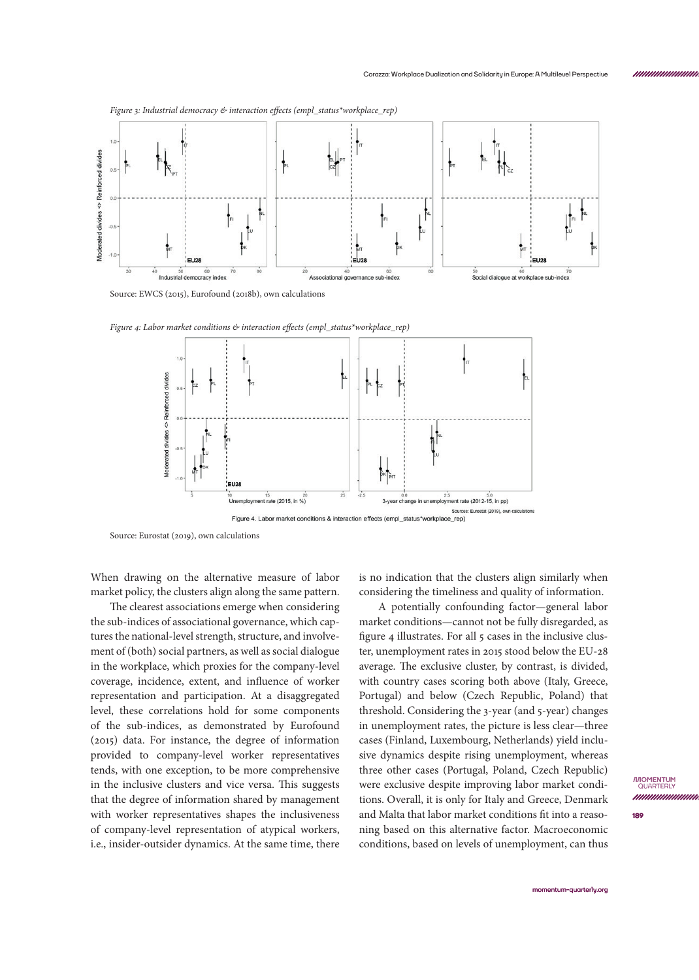

Source: EWCS (2015), Eurofound (2018b), own calculations



*Figure 4: Labor market conditions & interaction effects (empl\_status\*workplace\_rep)*

Source: Eurostat (2019), own calculations

When drawing on the alternative measure of labor market policy, the clusters align along the same pattern.

The clearest associations emerge when considering the sub-indices of associational governance, which captures the national-level strength, structure, and involvement of (both) social partners, as well as social dialogue in the workplace, which proxies for the company-level coverage, incidence, extent, and influence of worker representation and participation. At a disaggregated level, these correlations hold for some components of the sub-indices, as demonstrated by Eurofound (2015) data. For instance, the degree of information provided to company-level worker representatives tends, with one exception, to be more comprehensive in the inclusive clusters and vice versa. This suggests that the degree of information shared by management with worker representatives shapes the inclusiveness of company-level representation of atypical workers, i.e., insider-outsider dynamics. At the same time, there

is no indication that the clusters align similarly when considering the timeliness and quality of information.

A potentially confounding factor—general labor market conditions—cannot not be fully disregarded, as figure 4 illustrates. For all 5 cases in the inclusive cluster, unemployment rates in 2015 stood below the EU-28 average. The exclusive cluster, by contrast, is divided, with country cases scoring both above (Italy, Greece, Portugal) and below (Czech Republic, Poland) that threshold. Considering the 3-year (and 5-year) changes in unemployment rates, the picture is less clear—three cases (Finland, Luxembourg, Netherlands) yield inclusive dynamics despite rising unemployment, whereas three other cases (Portugal, Poland, Czech Republic) were exclusive despite improving labor market conditions. Overall, it is only for Italy and Greece, Denmark and Malta that labor market conditions fit into a reasoning based on this alternative factor. Macroeconomic conditions, based on levels of unemployment, can thus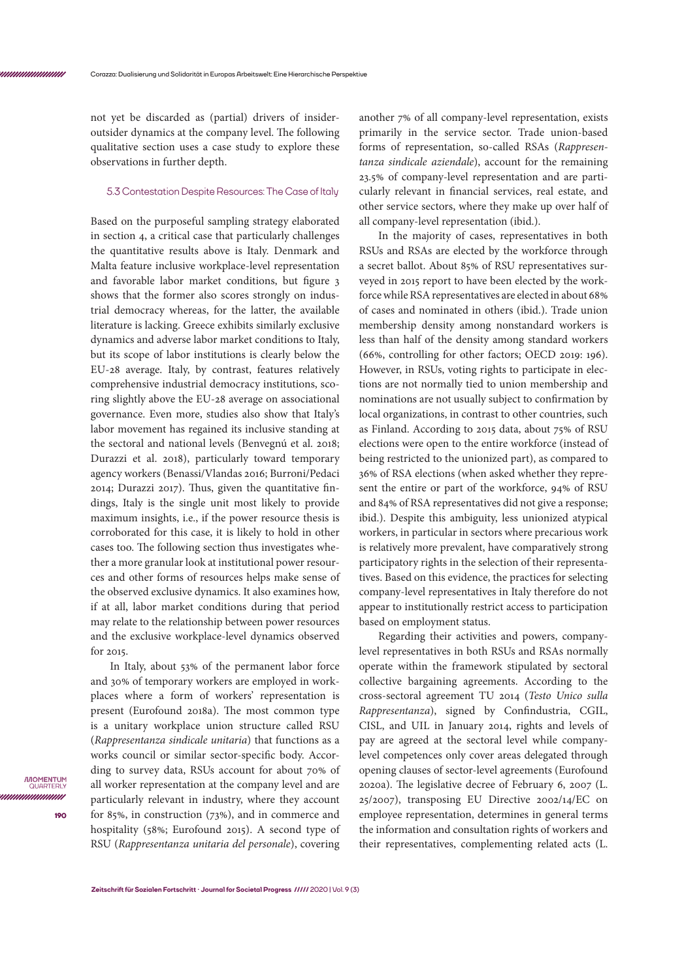not yet be discarded as (partial) drivers of insideroutsider dynamics at the company level. The following qualitative section uses a case study to explore these observations in further depth.

### 5.3 Contestation Despite Resources: The Case of Italy

Based on the purposeful sampling strategy elaborated in section 4, a critical case that particularly challenges the quantitative results above is Italy. Denmark and Malta feature inclusive workplace-level representation and favorable labor market conditions, but figure 3 shows that the former also scores strongly on industrial democracy whereas, for the latter, the available literature is lacking. Greece exhibits similarly exclusive dynamics and adverse labor market conditions to Italy, but its scope of labor institutions is clearly below the EU-28 average. Italy, by contrast, features relatively comprehensive industrial democracy institutions, scoring slightly above the EU-28 average on associational governance. Even more, studies also show that Italy's labor movement has regained its inclusive standing at the sectoral and national levels (Benvegnú et al. 2018; Durazzi et al. 2018), particularly toward temporary agency workers (Benassi/Vlandas 2016; Burroni/Pedaci 2014; Durazzi 2017). Thus, given the quantitative findings, Italy is the single unit most likely to provide maximum insights, i.e., if the power resource thesis is corroborated for this case, it is likely to hold in other cases too. The following section thus investigates whether a more granular look at institutional power resources and other forms of resources helps make sense of the observed exclusive dynamics. It also examines how, if at all, labor market conditions during that period may relate to the relationship between power resources and the exclusive workplace-level dynamics observed for 2015.

In Italy, about 53% of the permanent labor force and 30% of temporary workers are employed in workplaces where a form of workers' representation is present (Eurofound 2018a). The most common type is a unitary workplace union structure called RSU (*Rappresentanza sindicale unitaria*) that functions as a works council or similar sector-specific body. According to survey data, RSUs account for about 70% of all worker representation at the company level and are particularly relevant in industry, where they account for 85%, in construction (73%), and in commerce and hospitality (58%; Eurofound 2015). A second type of RSU (*Rappresentanza unitaria del personale*), covering

another 7% of all company-level representation, exists primarily in the service sector. Trade union-based forms of representation, so-called RSAs (*Rappresentanza sindicale aziendale*), account for the remaining 23.5% of company-level representation and are particularly relevant in financial services, real estate, and other service sectors, where they make up over half of all company-level representation (ibid.).

In the majority of cases, representatives in both RSUs and RSAs are elected by the workforce through a secret ballot. About 85% of RSU representatives surveyed in 2015 report to have been elected by the workforce while RSA representatives are elected in about 68% of cases and nominated in others (ibid.). Trade union membership density among nonstandard workers is less than half of the density among standard workers (66%, controlling for other factors; OECD 2019: 196). However, in RSUs, voting rights to participate in elections are not normally tied to union membership and nominations are not usually subject to confirmation by local organizations, in contrast to other countries, such as Finland. According to 2015 data, about 75% of RSU elections were open to the entire workforce (instead of being restricted to the unionized part), as compared to 36% of RSA elections (when asked whether they represent the entire or part of the workforce, 94% of RSU and 84% of RSA representatives did not give a response; ibid.). Despite this ambiguity, less unionized atypical workers, in particular in sectors where precarious work is relatively more prevalent, have comparatively strong participatory rights in the selection of their representatives. Based on this evidence, the practices for selecting company-level representatives in Italy therefore do not appear to institutionally restrict access to participation based on employment status.

Regarding their activities and powers, companylevel representatives in both RSUs and RSAs normally operate within the framework stipulated by sectoral collective bargaining agreements. According to the cross-sectoral agreement TU 2014 (*Testo Unico sulla Rappresentanza*), signed by Confindustria, CGIL, CISL, and UIL in January 2014, rights and levels of pay are agreed at the sectoral level while companylevel competences only cover areas delegated through opening clauses of sector-level agreements (Eurofound 2020a). The legislative decree of February 6, 2007 (L. 25/2007), transposing EU Directive 2002/14/EC on employee representation, determines in general terms the information and consultation rights of workers and their representatives, complementing related acts (L.

*IMOMENTUM* QUARTEI unnunnun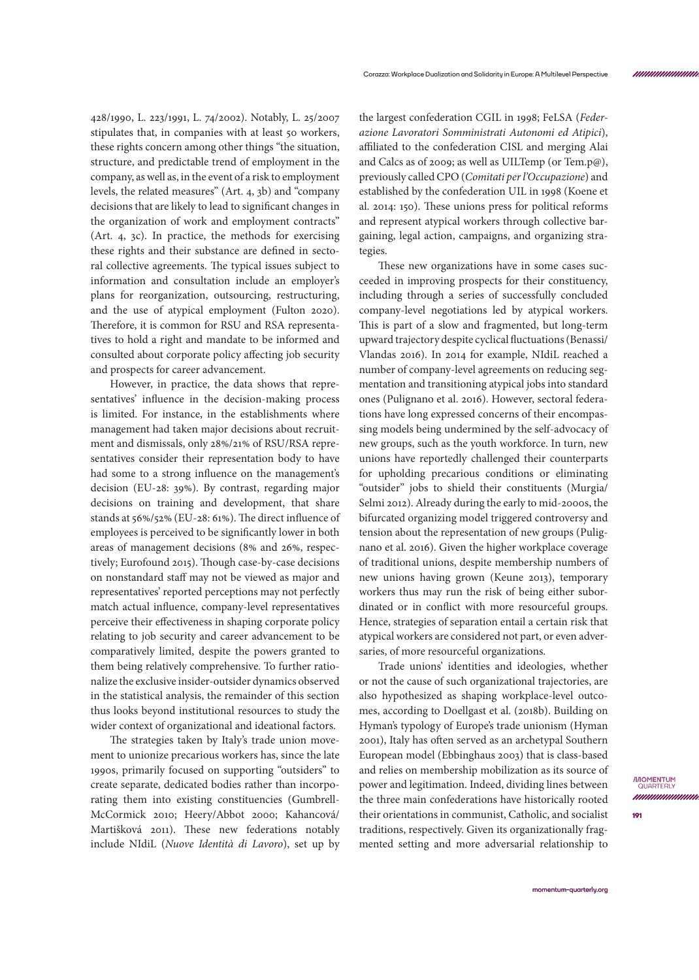428/1990, L. 223/1991, L. 74/2002). Notably, L. 25/2007 stipulates that, in companies with at least 50 workers, these rights concern among other things "the situation, structure, and predictable trend of employment in the company, as well as, in the event of a risk to employment levels, the related measures" (Art. 4, 3b) and "company decisions that are likely to lead to significant changes in the organization of work and employment contracts" (Art. 4, 3c). In practice, the methods for exercising these rights and their substance are defined in sectoral collective agreements. The typical issues subject to information and consultation include an employer's plans for reorganization, outsourcing, restructuring, and the use of atypical employment (Fulton 2020). Therefore, it is common for RSU and RSA representatives to hold a right and mandate to be informed and consulted about corporate policy affecting job security and prospects for career advancement.

However, in practice, the data shows that representatives' influence in the decision-making process is limited. For instance, in the establishments where management had taken major decisions about recruitment and dismissals, only 28%/21% of RSU/RSA representatives consider their representation body to have had some to a strong influence on the management's decision (EU-28: 39%). By contrast, regarding major decisions on training and development, that share stands at 56%/52% (EU-28: 61%). The direct influence of employees is perceived to be significantly lower in both areas of management decisions (8% and 26%, respectively; Eurofound 2015). Though case-by-case decisions on nonstandard staff may not be viewed as major and representatives' reported perceptions may not perfectly match actual influence, company-level representatives perceive their effectiveness in shaping corporate policy relating to job security and career advancement to be comparatively limited, despite the powers granted to them being relatively comprehensive. To further rationalize the exclusive insider-outsider dynamics observed in the statistical analysis, the remainder of this section thus looks beyond institutional resources to study the wider context of organizational and ideational factors.

The strategies taken by Italy's trade union movement to unionize precarious workers has, since the late 1990s, primarily focused on supporting "outsiders" to create separate, dedicated bodies rather than incorporating them into existing constituencies (Gumbrell-McCormick 2010; Heery/Abbot 2000; Kahancová/ Martišková 2011). These new federations notably include NIdiL (*Nuove Identità di Lavoro*), set up by the largest confederation CGIL in 1998; FeLSA (*Federazione Lavoratori Somministrati Autonomi ed Atipici*), affiliated to the confederation CISL and merging Alai and Calcs as of 2009; as well as UILTemp (or Tem.p@), previously called CPO (*Comitati per l'Occupazione*) and established by the confederation UIL in 1998 (Koene et al. 2014: 150). These unions press for political reforms and represent atypical workers through collective bargaining, legal action, campaigns, and organizing strategies.

These new organizations have in some cases succeeded in improving prospects for their constituency, including through a series of successfully concluded company-level negotiations led by atypical workers. This is part of a slow and fragmented, but long-term upward trajectory despite cyclical fluctuations (Benassi/ Vlandas 2016). In 2014 for example, NIdiL reached a number of company-level agreements on reducing segmentation and transitioning atypical jobs into standard ones (Pulignano et al. 2016). However, sectoral federations have long expressed concerns of their encompassing models being undermined by the self-advocacy of new groups, such as the youth workforce. In turn, new unions have reportedly challenged their counterparts for upholding precarious conditions or eliminating "outsider" jobs to shield their constituents (Murgia/ Selmi 2012). Already during the early to mid-2000s, the bifurcated organizing model triggered controversy and tension about the representation of new groups (Pulignano et al. 2016). Given the higher workplace coverage of traditional unions, despite membership numbers of new unions having grown (Keune 2013), temporary workers thus may run the risk of being either subordinated or in conflict with more resourceful groups. Hence, strategies of separation entail a certain risk that atypical workers are considered not part, or even adversaries, of more resourceful organizations.

Trade unions' identities and ideologies, whether or not the cause of such organizational trajectories, are also hypothesized as shaping workplace-level outcomes, according to Doellgast et al. (2018b). Building on Hyman's typology of Europe's trade unionism (Hyman 2001), Italy has often served as an archetypal Southern European model (Ebbinghaus 2003) that is class-based and relies on membership mobilization as its source of power and legitimation. Indeed, dividing lines between the three main confederations have historically rooted their orientations in communist, Catholic, and socialist traditions, respectively. Given its organizationally fragmented setting and more adversarial relationship to

*mummmmmn*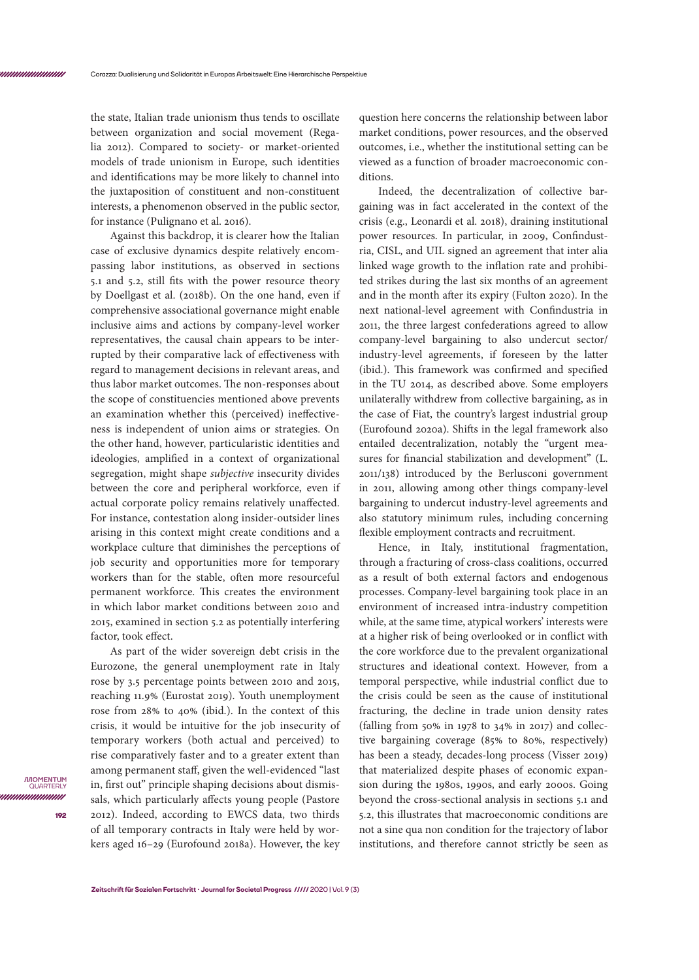the state, Italian trade unionism thus tends to oscillate between organization and social movement (Regalia 2012). Compared to society- or market-oriented models of trade unionism in Europe, such identities and identifications may be more likely to channel into the juxtaposition of constituent and non-constituent interests, a phenomenon observed in the public sector, for instance (Pulignano et al. 2016).

Against this backdrop, it is clearer how the Italian case of exclusive dynamics despite relatively encompassing labor institutions, as observed in sections 5.1 and 5.2, still fits with the power resource theory by Doellgast et al. (2018b). On the one hand, even if comprehensive associational governance might enable inclusive aims and actions by company-level worker representatives, the causal chain appears to be interrupted by their comparative lack of effectiveness with regard to management decisions in relevant areas, and thus labor market outcomes. The non-responses about the scope of constituencies mentioned above prevents an examination whether this (perceived) ineffectiveness is independent of union aims or strategies. On the other hand, however, particularistic identities and ideologies, amplified in a context of organizational segregation, might shape *subjective* insecurity divides between the core and peripheral workforce, even if actual corporate policy remains relatively unaffected. For instance, contestation along insider-outsider lines arising in this context might create conditions and a workplace culture that diminishes the perceptions of job security and opportunities more for temporary workers than for the stable, often more resourceful permanent workforce. This creates the environment in which labor market conditions between 2010 and 2015, examined in section 5.2 as potentially interfering factor, took effect.

As part of the wider sovereign debt crisis in the Eurozone, the general unemployment rate in Italy rose by 3.5 percentage points between 2010 and 2015, reaching 11.9% (Eurostat 2019). Youth unemployment rose from 28% to 40% (ibid.). In the context of this crisis, it would be intuitive for the job insecurity of temporary workers (both actual and perceived) to rise comparatively faster and to a greater extent than among permanent staff, given the well-evidenced "last in, first out" principle shaping decisions about dismissals, which particularly affects young people (Pastore 2012). Indeed, according to EWCS data, two thirds of all temporary contracts in Italy were held by workers aged 16–29 (Eurofound 2018a). However, the key

question here concerns the relationship between labor market conditions, power resources, and the observed outcomes, i.e., whether the institutional setting can be viewed as a function of broader macroeconomic conditions.

Indeed, the decentralization of collective bargaining was in fact accelerated in the context of the crisis (e.g., Leonardi et al. 2018), draining institutional power resources. In particular, in 2009, Confindustria, CISL, and UIL signed an agreement that inter alia linked wage growth to the inflation rate and prohibited strikes during the last six months of an agreement and in the month after its expiry (Fulton 2020). In the next national-level agreement with Confindustria in 2011, the three largest confederations agreed to allow company-level bargaining to also undercut sector/ industry-level agreements, if foreseen by the latter (ibid.). This framework was confirmed and specified in the TU 2014, as described above. Some employers unilaterally withdrew from collective bargaining, as in the case of Fiat, the country's largest industrial group (Eurofound 2020a). Shifts in the legal framework also entailed decentralization, notably the "urgent measures for financial stabilization and development" (L. 2011/138) introduced by the Berlusconi government in 2011, allowing among other things company-level bargaining to undercut industry-level agreements and also statutory minimum rules, including concerning flexible employment contracts and recruitment.

Hence, in Italy, institutional fragmentation, through a fracturing of cross-class coalitions, occurred as a result of both external factors and endogenous processes. Company-level bargaining took place in an environment of increased intra-industry competition while, at the same time, atypical workers' interests were at a higher risk of being overlooked or in conflict with the core workforce due to the prevalent organizational structures and ideational context. However, from a temporal perspective, while industrial conflict due to the crisis could be seen as the cause of institutional fracturing, the decline in trade union density rates (falling from 50% in 1978 to 34% in 2017) and collective bargaining coverage (85% to 80%, respectively) has been a steady, decades-long process (Visser 2019) that materialized despite phases of economic expansion during the 1980s, 1990s, and early 2000s. Going beyond the cross-sectional analysis in sections 5.1 and 5.2, this illustrates that macroeconomic conditions are not a sine qua non condition for the trajectory of labor institutions, and therefore cannot strictly be seen as

*IMOMENTUM* QUARTEI unnunnun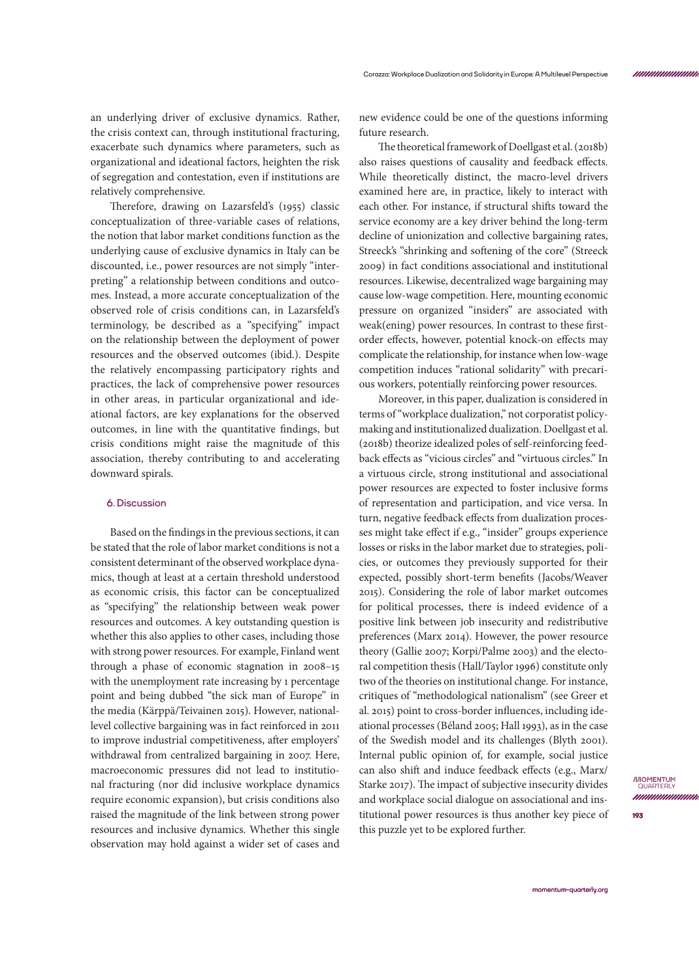an underlying driver of exclusive dynamics. Rather, the crisis context can, through institutional fracturing, exacerbate such dynamics where parameters, such as organizational and ideational factors, heighten the risk of segregation and contestation, even if institutions are relatively comprehensive.

Therefore, drawing on Lazarsfeld's (1955) classic conceptualization of three-variable cases of relations, the notion that labor market conditions function as the underlying cause of exclusive dynamics in Italy can be discounted, i.e., power resources are not simply "interpreting" a relationship between conditions and outcomes. Instead, a more accurate conceptualization of the observed role of crisis conditions can, in Lazarsfeld's terminology, be described as a "specifying" impact on the relationship between the deployment of power resources and the observed outcomes (ibid.). Despite the relatively encompassing participatory rights and practices, the lack of comprehensive power resources in other areas, in particular organizational and ideational factors, are key explanations for the observed outcomes, in line with the quantitative findings, but crisis conditions might raise the magnitude of this association, thereby contributing to and accelerating downward spirals.

## **6. Discussion**

Based on the findings in the previous sections, it can be stated that the role of labor market conditions is not a consistent determinant of the observed workplace dynamics, though at least at a certain threshold understood as economic crisis, this factor can be conceptualized as "specifying" the relationship between weak power resources and outcomes. A key outstanding question is whether this also applies to other cases, including those with strong power resources. For example, Finland went through a phase of economic stagnation in 2008–15 with the unemployment rate increasing by 1 percentage point and being dubbed "the sick man of Europe" in the media (Kärppä/Teivainen 2015). However, nationallevel collective bargaining was in fact reinforced in 2011 to improve industrial competitiveness, after employers' withdrawal from centralized bargaining in 2007. Here, macroeconomic pressures did not lead to institutional fracturing (nor did inclusive workplace dynamics require economic expansion), but crisis conditions also raised the magnitude of the link between strong power resources and inclusive dynamics. Whether this single observation may hold against a wider set of cases and

new evidence could be one of the questions informing future research.

The theoretical framework of Doellgast et al. (2018b) also raises questions of causality and feedback effects. While theoretically distinct, the macro-level drivers examined here are, in practice, likely to interact with each other. For instance, if structural shifts toward the service economy are a key driver behind the long-term decline of unionization and collective bargaining rates, Streeck's "shrinking and softening of the core" (Streeck 2009) in fact conditions associational and institutional resources. Likewise, decentralized wage bargaining may cause low-wage competition. Here, mounting economic pressure on organized "insiders" are associated with weak(ening) power resources. In contrast to these firstorder effects, however, potential knock-on effects may complicate the relationship, for instance when low-wage competition induces "rational solidarity" with precarious workers, potentially reinforcing power resources.

Moreover, in this paper, dualization is considered in terms of "workplace dualization," not corporatist policymaking and institutionalized dualization. Doellgast et al. (2018b) theorize idealized poles of self-reinforcing feedback effects as "vicious circles" and "virtuous circles." In a virtuous circle, strong institutional and associational power resources are expected to foster inclusive forms of representation and participation, and vice versa. In turn, negative feedback effects from dualization processes might take effect if e.g., "insider" groups experience losses or risks in the labor market due to strategies, policies, or outcomes they previously supported for their expected, possibly short-term benefits (Jacobs/Weaver 2015). Considering the role of labor market outcomes for political processes, there is indeed evidence of a positive link between job insecurity and redistributive preferences (Marx 2014). However, the power resource theory (Gallie 2007; Korpi/Palme 2003) and the electoral competition thesis (Hall/Taylor 1996) constitute only two of the theories on institutional change. For instance, critiques of "methodological nationalism" (see Greer et al. 2015) point to cross-border influences, including ideational processes (Béland 2005; Hall 1993), as in the case of the Swedish model and its challenges (Blyth 2001). Internal public opinion of, for example, social justice can also shift and induce feedback effects (e.g., Marx/ Starke 2017). The impact of subjective insecurity divides and workplace social dialogue on associational and institutional power resources is thus another key piece of this puzzle yet to be explored further.

*mummmmmn*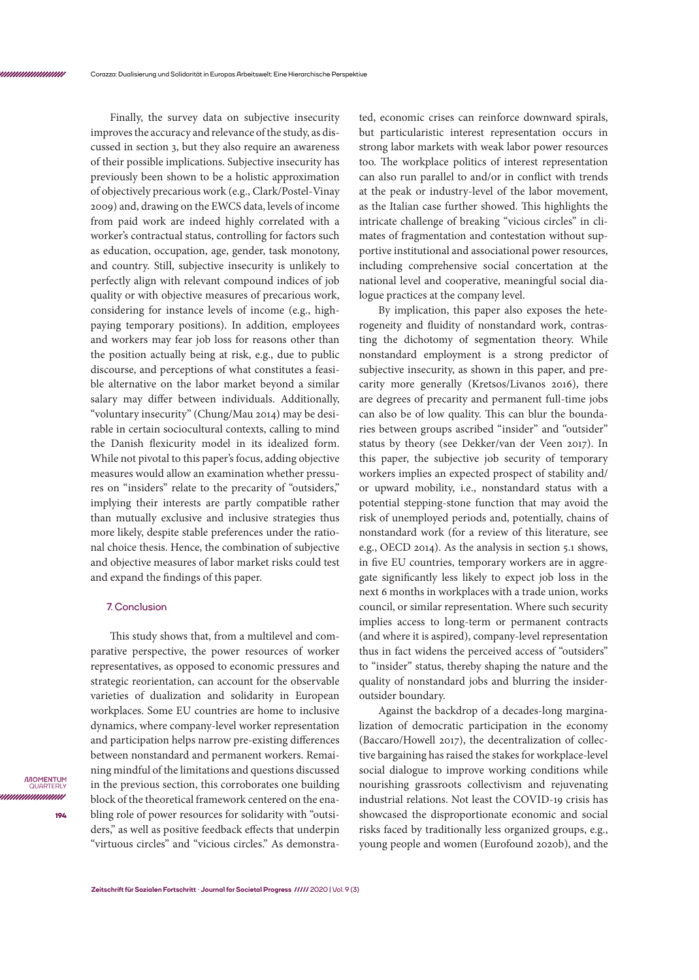Finally, the survey data on subjective insecurity improves the accuracy and relevance of the study, as discussed in section 3, but they also require an awareness of their possible implications. Subjective insecurity has previously been shown to be a holistic approximation of objectively precarious work (e.g., Clark/Postel-Vinay 2009) and, drawing on the EWCS data, levels of income from paid work are indeed highly correlated with a worker's contractual status, controlling for factors such as education, occupation, age, gender, task monotony, and country. Still, subjective insecurity is unlikely to perfectly align with relevant compound indices of job quality or with objective measures of precarious work, considering for instance levels of income (e.g., highpaying temporary positions). In addition, employees and workers may fear job loss for reasons other than the position actually being at risk, e.g., due to public discourse, and perceptions of what constitutes a feasible alternative on the labor market beyond a similar salary may differ between individuals. Additionally, "voluntary insecurity" (Chung/Mau 2014) may be desirable in certain sociocultural contexts, calling to mind the Danish flexicurity model in its idealized form. While not pivotal to this paper's focus, adding objective measures would allow an examination whether pressures on "insiders" relate to the precarity of "outsiders," implying their interests are partly compatible rather than mutually exclusive and inclusive strategies thus more likely, despite stable preferences under the rational choice thesis. Hence, the combination of subjective and objective measures of labor market risks could test and expand the findings of this paper.

## **7. Conclusion**

This study shows that, from a multilevel and comparative perspective, the power resources of worker representatives, as opposed to economic pressures and strategic reorientation, can account for the observable varieties of dualization and solidarity in European workplaces. Some EU countries are home to inclusive dynamics, where company-level worker representation and participation helps narrow pre-existing differences between nonstandard and permanent workers. Remaining mindful of the limitations and questions discussed in the previous section, this corroborates one building block of the theoretical framework centered on the enabling role of power resources for solidarity with "outsiders," as well as positive feedback effects that underpin "virtuous circles" and "vicious circles." As demonstrated, economic crises can reinforce downward spirals, but particularistic interest representation occurs in strong labor markets with weak labor power resources too. The workplace politics of interest representation can also run parallel to and/or in conflict with trends at the peak or industry-level of the labor movement, as the Italian case further showed. This highlights the intricate challenge of breaking "vicious circles" in climates of fragmentation and contestation without supportive institutional and associational power resources, including comprehensive social concertation at the national level and cooperative, meaningful social dialogue practices at the company level.

By implication, this paper also exposes the heterogeneity and fluidity of nonstandard work, contrasting the dichotomy of segmentation theory. While nonstandard employment is a strong predictor of subjective insecurity, as shown in this paper, and precarity more generally (Kretsos/Livanos 2016), there are degrees of precarity and permanent full-time jobs can also be of low quality. This can blur the boundaries between groups ascribed "insider" and "outsider" status by theory (see Dekker/van der Veen 2017). In this paper, the subjective job security of temporary workers implies an expected prospect of stability and/ or upward mobility, i.e., nonstandard status with a potential stepping-stone function that may avoid the risk of unemployed periods and, potentially, chains of nonstandard work (for a review of this literature, see e.g., OECD 2014). As the analysis in section 5.1 shows, in five EU countries, temporary workers are in aggregate significantly less likely to expect job loss in the next 6 months in workplaces with a trade union, works council, or similar representation. Where such security implies access to long-term or permanent contracts (and where it is aspired), company-level representation thus in fact widens the perceived access of "outsiders" to "insider" status, thereby shaping the nature and the quality of nonstandard jobs and blurring the insideroutsider boundary.

Against the backdrop of a decades-long marginalization of democratic participation in the economy (Baccaro/Howell 2017), the decentralization of collective bargaining has raised the stakes for workplace-level social dialogue to improve working conditions while nourishing grassroots collectivism and rejuvenating industrial relations. Not least the COVID-19 crisis has showcased the disproportionate economic and social risks faced by traditionally less organized groups, e.g., young people and women (Eurofound 2020b), and the

*IMOMENTUM* QUARTEI unnunnun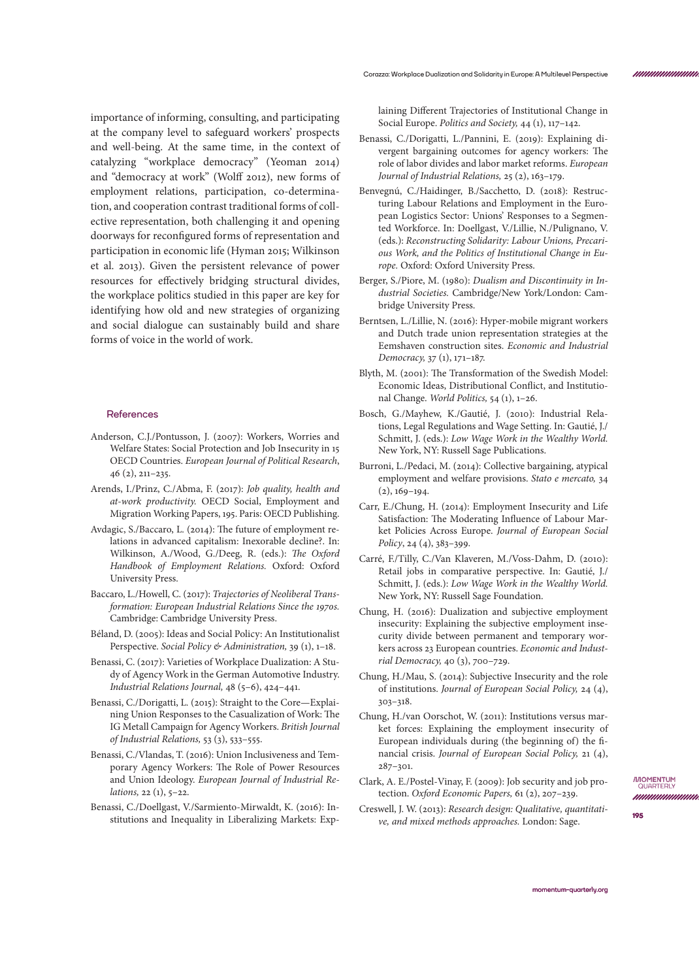importance of informing, consulting, and participating at the company level to safeguard workers' prospects and well-being. At the same time, in the context of catalyzing "workplace democracy" (Yeoman 2014) and "democracy at work" (Wolff 2012), new forms of employment relations, participation, co-determination, and cooperation contrast traditional forms of collective representation, both challenging it and opening doorways for reconfigured forms of representation and participation in economic life (Hyman 2015; Wilkinson et al. 2013). Given the persistent relevance of power resources for effectively bridging structural divides, the workplace politics studied in this paper are key for identifying how old and new strategies of organizing and social dialogue can sustainably build and share forms of voice in the world of work.

## **References**

- Anderson, C.J./Pontusson, J. (2007): Workers, Worries and Welfare States: Social Protection and Job Insecurity in 15 OECD Countries. *European Journal of Political Research*, 46 (2), 211–235.
- Arends, I./Prinz, C./Abma, F. (2017): *Job quality, health and at-work productivity.* OECD Social, Employment and Migration Working Papers, 195. Paris: OECD Publishing.
- Avdagic, S./Baccaro, L. (2014): The future of employment relations in advanced capitalism: Inexorable decline?. In: Wilkinson, A./Wood, G./Deeg, R. (eds.): *The Oxford Handbook of Employment Relations.* Oxford: Oxford University Press.
- Baccaro, L./Howell, C. (2017): *Trajectories of Neoliberal Transformation: European Industrial Relations Since the 1970s.* Cambridge: Cambridge University Press.
- Béland, D. (2005): Ideas and Social Policy: An Institutionalist Perspective. *Social Policy & Administration,* 39 (1), 1–18.
- Benassi, C. (2017): Varieties of Workplace Dualization: A Study of Agency Work in the German Automotive Industry. *Industrial Relations Journal,* 48 (5–6), 424–441.
- Benassi, C./Dorigatti, L. (2015): Straight to the Core—Explaining Union Responses to the Casualization of Work: The IG Metall Campaign for Agency Workers. *British Journal of Industrial Relations,* 53 (3), 533–555.
- Benassi, C./Vlandas, T. (2016): Union Inclusiveness and Temporary Agency Workers: The Role of Power Resources and Union Ideology. *European Journal of Industrial Relations,* 22 (1), 5–22.
- Benassi, C./Doellgast, V./Sarmiento-Mirwaldt, K. (2016): Institutions and Inequality in Liberalizing Markets: Exp-

laining Different Trajectories of Institutional Change in Social Europe. *Politics and Society,* 44 (1), 117–142.

- Benassi, C./Dorigatti, L./Pannini, E. (2019): Explaining divergent bargaining outcomes for agency workers: The role of labor divides and labor market reforms. *European Journal of Industrial Relations,* 25 (2), 163–179.
- Benvegnú, C./Haidinger, B./Sacchetto, D. (2018): Restructuring Labour Relations and Employment in the European Logistics Sector: Unions' Responses to a Segmented Workforce. In: Doellgast, V./Lillie, N./Pulignano, V. (eds.): *Reconstructing Solidarity: Labour Unions, Precarious Work, and the Politics of Institutional Change in Europe.* Oxford: Oxford University Press.
- Berger, S./Piore, M. (1980): *Dualism and Discontinuity in Industrial Societies.* Cambridge/New York/London: Cambridge University Press.
- Berntsen, L./Lillie, N. (2016): Hyper-mobile migrant workers and Dutch trade union representation strategies at the Eemshaven construction sites. *Economic and Industrial Democracy,* 37 (1), 171–187.
- Blyth, M. (2001): The Transformation of the Swedish Model: Economic Ideas, Distributional Conflict, and Institutional Change. *World Politics,* 54 (1), 1–26.
- Bosch, G./Mayhew, K./Gautié, J. (2010): Industrial Relations, Legal Regulations and Wage Setting. In: Gautié, J./ Schmitt, J. (eds.): *Low Wage Work in the Wealthy World.*  New York, NY: Russell Sage Publications.
- Burroni, L./Pedaci, M. (2014): Collective bargaining, atypical employment and welfare provisions. *Stato e mercato,* 34  $(2), 169-194.$
- Carr, E./Chung, H. (2014): Employment Insecurity and Life Satisfaction: The Moderating Influence of Labour Market Policies Across Europe. *Journal of European Social Policy*, 24 (4), 383–399.
- Carré, F./Tilly, C./Van Klaveren, M./Voss-Dahm, D. (2010): Retail jobs in comparative perspective. In: Gautié, J./ Schmitt, J. (eds.): *Low Wage Work in the Wealthy World.*  New York, NY: Russell Sage Foundation.
- Chung, H. (2016): Dualization and subjective employment insecurity: Explaining the subjective employment insecurity divide between permanent and temporary workers across 23 European countries. *Economic and Industrial Democracy,* 40 (3), 700–729.
- Chung, H./Mau, S. (2014): Subjective Insecurity and the role of institutions. *Journal of European Social Policy,* 24 (4), 303–318.
- Chung, H./van Oorschot, W. (2011): Institutions versus market forces: Explaining the employment insecurity of European individuals during (the beginning of) the financial crisis. *Journal of European Social Policy,* 21 (4), 287–301.
- Clark, A. E./Postel-Vinay, F. (2009): Job security and job protection. *Oxford Economic Papers,* 61 (2), 207–239.
- Creswell, J. W. (2013): *Research design: Qualitative, quantitative, and mixed methods approaches.* London: Sage.

**IMOMENTUM**<br>QUARTERLY nnnnmmmm

*ununununu*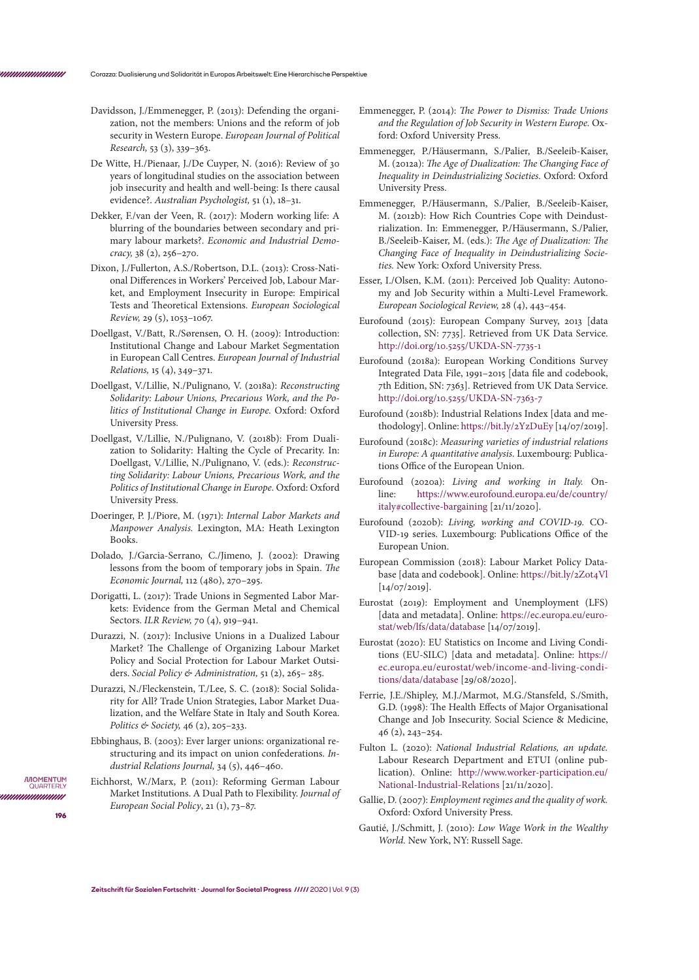- Davidsson, J./Emmenegger, P. (2013): Defending the organization, not the members: Unions and the reform of job security in Western Europe. *European Journal of Political Research,* 53 (3), 339–363.
- De Witte, H./Pienaar, J./De Cuyper, N. (2016): Review of 30 years of longitudinal studies on the association between job insecurity and health and well-being: Is there causal evidence?. *Australian Psychologist,* 51 (1), 18–31.
- Dekker, F./van der Veen, R. (2017): Modern working life: A blurring of the boundaries between secondary and primary labour markets?. *Economic and Industrial Democracy,* 38 (2), 256–270.
- Dixon, J./Fullerton, A.S./Robertson, D.L. (2013): Cross-National Differences in Workers' Perceived Job, Labour Market, and Employment Insecurity in Europe: Empirical Tests and Theoretical Extensions. *European Sociological Review,* 29 (5), 1053–1067.
- Doellgast, V./Batt, R./Sørensen, O. H. (2009): Introduction: Institutional Change and Labour Market Segmentation in European Call Centres. *European Journal of Industrial Relations,* 15 (4), 349–371.
- Doellgast, V./Lillie, N./Pulignano, V. (2018a): *Reconstructing Solidarity: Labour Unions, Precarious Work, and the Politics of Institutional Change in Europe.* Oxford: Oxford University Press.
- Doellgast, V./Lillie, N./Pulignano, V. (2018b): From Dualization to Solidarity: Halting the Cycle of Precarity. In: Doellgast, V./Lillie, N./Pulignano, V. (eds.): *Reconstructing Solidarity: Labour Unions, Precarious Work, and the Politics of Institutional Change in Europe.* Oxford: Oxford University Press.
- Doeringer, P. J./Piore, M. (1971): *Internal Labor Markets and Manpower Analysis.* Lexington, MA: Heath Lexington Books.
- Dolado, J./Garcia-Serrano, C./Jimeno, J. (2002): Drawing lessons from the boom of temporary jobs in Spain. *The Economic Journal,* 112 (480), 270–295.
- Dorigatti, L. (2017): Trade Unions in Segmented Labor Markets: Evidence from the German Metal and Chemical Sectors. *ILR Review,* 70 (4), 919–941.
- Durazzi, N. (2017): Inclusive Unions in a Dualized Labour Market? The Challenge of Organizing Labour Market Policy and Social Protection for Labour Market Outsiders. *Social Policy & Administration,* 51 (2), 265– 285.
- Durazzi, N./Fleckenstein, T./Lee, S. C. (2018): Social Solidarity for All? Trade Union Strategies, Labor Market Dualization, and the Welfare State in Italy and South Korea. *Politics & Society,* 46 (2), 205–233.
- Ebbinghaus, B. (2003): Ever larger unions: organizational restructuring and its impact on union confederations. *Industrial Relations Journal,* 34 (5), 446–460.
- Eichhorst, W./Marx, P. (2011): Reforming German Labour Market Institutions. A Dual Path to Flexibility. *Journal of European Social Policy*, 21 (1), 73–87.
- Emmenegger, P. (2014): *The Power to Dismiss: Trade Unions and the Regulation of Job Security in Western Europe.* Oxford: Oxford University Press.
- Emmenegger, P./Häusermann, S./Palier, B./Seeleib-Kaiser, M. (2012a): *The Age of Dualization: The Changing Face of Inequality in Deindustrializing Societies.* Oxford: Oxford University Press.
- Emmenegger, P./Häusermann, S./Palier, B./Seeleib-Kaiser, M. (2012b): How Rich Countries Cope with Deindustrialization. In: Emmenegger, P./Häusermann, S./Palier, B./Seeleib-Kaiser, M. (eds.): *The Age of Dualization: The Changing Face of Inequality in Deindustrializing Societies.* New York: Oxford University Press.
- Esser, I./Olsen, K.M. (2011): Perceived Job Quality: Autonomy and Job Security within a Multi-Level Framework. *European Sociological Review,* 28 (4), 443–454.
- Eurofound (2015): European Company Survey, 2013 [data collection, SN: 7735]. Retrieved from UK Data Service. <http://doi.org/10.5255/UKDA-SN-7735-1>
- Eurofound (2018a): European Working Conditions Survey Integrated Data File, 1991–2015 [data file and codebook, 7th Edition, SN: 7363]. Retrieved from UK Data Service. <http://doi.org/10.5255/UKDA-SN-7363-7>
- Eurofound (2018b): Industrial Relations Index [data and methodology]. Online:<https://bit.ly/2YzDuEy>[14/07/2019].
- Eurofound (2018c): *Measuring varieties of industrial relations in Europe: A quantitative analysis.* Luxembourg: Publications Office of the European Union.
- Eurofound (2020a): *Living and working in Italy.* Online: [https://www.eurofound.europa.eu/de/country/](https://www.eurofound.europa.eu/de/country/italy#collective-bargaining) [italy#collective-bargaining](https://www.eurofound.europa.eu/de/country/italy#collective-bargaining) [21/11/2020].
- Eurofound (2020b): *Living, working and COVID-19.* CO-VID-19 series. Luxembourg: Publications Office of the European Union.
- European Commission (2018): Labour Market Policy Database [data and codebook]. Online: [https://bit.ly/2Zot4Vl](https://bit.ly/2Zot4Vl )  [14/07/2019].
- Eurostat (2019): Employment and Unemployment (LFS) [data and metadata]. Online: [https://ec.europa.eu/euro](https://ec.europa.eu/eurostat/web/lfs/data/database)[stat/web/lfs/data/database](https://ec.europa.eu/eurostat/web/lfs/data/database) [14/07/2019].
- Eurostat (2020): EU Statistics on Income and Living Conditions (EU-SILC) [data and metadata]. Online: [https://](https://ec.europa.eu/eurostat/web/income-and-living-conditions/data/database) [ec.europa.eu/eurostat/web/income-and-living-condi](https://ec.europa.eu/eurostat/web/income-and-living-conditions/data/database)[tions/data/database](https://ec.europa.eu/eurostat/web/income-and-living-conditions/data/database) [29/08/2020].
- Ferrie, J.E./Shipley, M.J./Marmot, M.G./Stansfeld, S./Smith, G.D. (1998): The Health Effects of Major Organisational Change and Job Insecurity. Social Science & Medicine, 46 (2), 243–254.
- Fulton L. (2020): *National Industrial Relations, an update.*  Labour Research Department and ETUI (online publication). Online: [http://www.worker-participation.eu/](http://www.worker-participation.eu/National-Industrial-Relations) [National-Industrial-Relations](http://www.worker-participation.eu/National-Industrial-Relations) [21/11/2020].
- Gallie, D. (2007): *Employment regimes and the quality of work.* Oxford: Oxford University Press.
- Gautié, J./Schmitt, J. (2010): *Low Wage Work in the Wealthy World.* New York, NY: Russell Sage.

**IMOMENTUM** QUARTER

**196**

nnnnnnnnn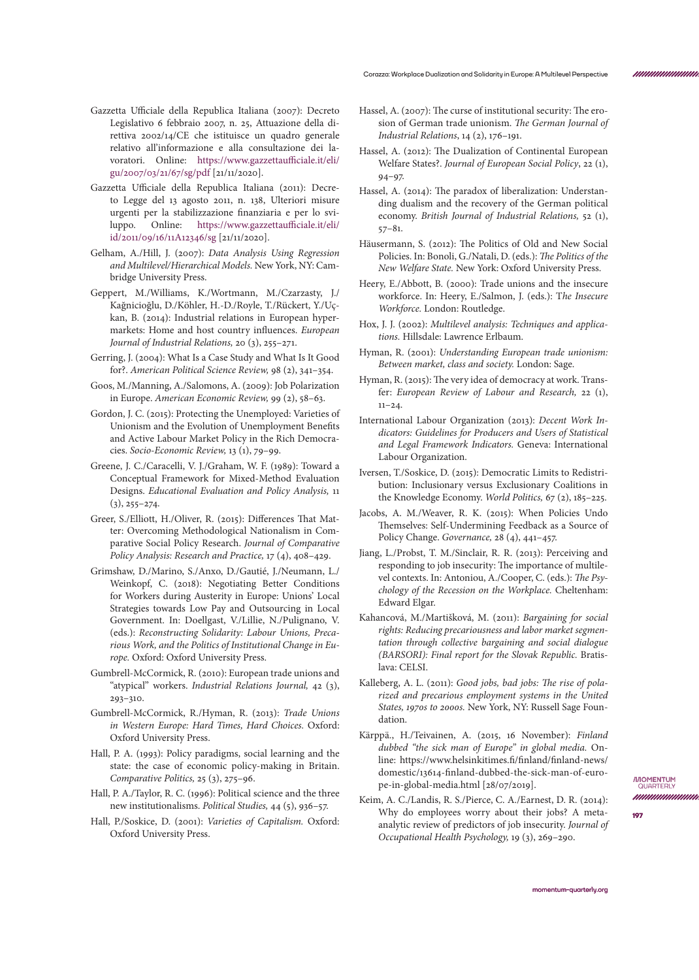- Gazzetta Ufficiale della Republica Italiana (2007): Decreto Legislativo 6 febbraio 2007, n. 25, Attuazione della direttiva 2002/14/CE che istituisce un quadro generale relativo all'informazione e alla consultazione dei lavoratori. Online: [https://www.gazzettaufficiale.it/eli/](https://www.gazzettaufficiale.it/eli/gu/2007/03/21/67/sg/pdf) [gu/2007/03/21/67/sg/pdf](https://www.gazzettaufficiale.it/eli/gu/2007/03/21/67/sg/pdf) [21/11/2020].
- Gazzetta Ufficiale della Republica Italiana (2011): Decreto Legge del 13 agosto 2011, n. 138, Ulteriori misure urgenti per la stabilizzazione finanziaria e per lo sviluppo. Online: [https://www.gazzettaufficiale.it/eli/](https://www.gazzettaufficiale.it/eli/id/2011/09/16/11A12346/sg) [id/2011/09/16/11A12346/sg](https://www.gazzettaufficiale.it/eli/id/2011/09/16/11A12346/sg) [21/11/2020].
- Gelham, A./Hill, J. (2007): *Data Analysis Using Regression and Multilevel/Hierarchical Models.* New York, NY: Cambridge University Press.
- Geppert, M./Williams, K./Wortmann, M./Czarzasty, J./ Kağnicioğlu, D./Köhler, H.-D./Royle, T./Rückert, Y./Uçkan, B. (2014): Industrial relations in European hypermarkets: Home and host country influences. *European Journal of Industrial Relations,* 20 (3), 255–271.
- Gerring, J. (2004): What Is a Case Study and What Is It Good for?. *American Political Science Review,* 98 (2), 341–354.
- Goos, M./Manning, A./Salomons, A. (2009): Job Polarization in Europe. *American Economic Review,* 99 (2), 58–63.
- Gordon, J. C. (2015): Protecting the Unemployed: Varieties of Unionism and the Evolution of Unemployment Benefits and Active Labour Market Policy in the Rich Democracies. *Socio-Economic Review,* 13 (1), 79–99.
- Greene, J. C./Caracelli, V. J./Graham, W. F. (1989): Toward a Conceptual Framework for Mixed-Method Evaluation Designs. *Educational Evaluation and Policy Analysis,* 11  $(3), 255 - 274.$
- Greer, S./Elliott, H./Oliver, R. (2015): Differences That Matter: Overcoming Methodological Nationalism in Comparative Social Policy Research. *Journal of Comparative Policy Analysis: Research and Practice,* 17 (4), 408–429.
- Grimshaw, D./Marino, S./Anxo, D./Gautié, J./Neumann, L./ Weinkopf, C. (2018): Negotiating Better Conditions for Workers during Austerity in Europe: Unions' Local Strategies towards Low Pay and Outsourcing in Local Government. In: Doellgast, V./Lillie, N./Pulignano, V. (eds.): *Reconstructing Solidarity: Labour Unions, Precarious Work, and the Politics of Institutional Change in Europe.* Oxford: Oxford University Press.
- Gumbrell-McCormick, R. (2010): European trade unions and "atypical" workers. *Industrial Relations Journal,* 42 (3), 293–310.
- Gumbrell-McCormick, R./Hyman, R. (2013): *Trade Unions in Western Europe: Hard Times, Hard Choices.* Oxford: Oxford University Press.
- Hall, P. A. (1993): Policy paradigms, social learning and the state: the case of economic policy-making in Britain. *Comparative Politics,* 25 (3), 275–96.
- Hall, P. A./Taylor, R. C. (1996): Political science and the three new institutionalisms. *Political Studies,* 44 (5), 936–57.
- Hall, P./Soskice, D. (2001): *Varieties of Capitalism.* Oxford: Oxford University Press.
- Hassel, A. (2007): The curse of institutional security: The erosion of German trade unionism. *The German Journal of Industrial Relations*, 14 (2), 176–191.
- Hassel, A. (2012): The Dualization of Continental European Welfare States?. *Journal of European Social Policy*, 22 (1), 94–97.
- Hassel, A. (2014): The paradox of liberalization: Understanding dualism and the recovery of the German political economy. *British Journal of Industrial Relations,* 52 (1), 57–81.
- Häusermann, S. (2012): The Politics of Old and New Social Policies. In: Bonoli, G./Natali, D. (eds.): *The Politics of the New Welfare State.* New York: Oxford University Press.
- Heery, E./Abbott, B. (2000): Trade unions and the insecure workforce. In: Heery, E./Salmon, J. (eds.): T*he Insecure Workforce.* London: Routledge.
- Hox, J. J. (2002): *Multilevel analysis: Techniques and applications.* Hillsdale: Lawrence Erlbaum.
- Hyman, R. (2001): *Understanding European trade unionism: Between market, class and society.* London: Sage.
- Hyman, R. (2015): The very idea of democracy at work. Transfer: *European Review of Labour and Research,* 22 (1),  $11-24.$
- International Labour Organization (2013): *Decent Work Indicators: Guidelines for Producers and Users of Statistical and Legal Framework Indicators.* Geneva: International Labour Organization.
- Iversen, T./Soskice, D. (2015): Democratic Limits to Redistribution: Inclusionary versus Exclusionary Coalitions in the Knowledge Economy. *World Politics,* 67 (2), 185–225.
- Jacobs, A. M./Weaver, R. K. (2015): When Policies Undo Themselves: Self‐Undermining Feedback as a Source of Policy Change. *Governance,* 28 (4), 441–457.
- Jiang, L./Probst, T. M./Sinclair, R. R. (2013): Perceiving and responding to job insecurity: The importance of multilevel contexts. In: Antoniou, A./Cooper, C. (eds.): *The Psychology of the Recession on the Workplace.* Cheltenham: Edward Elgar.
- Kahancová, M./Martišková, M. (2011): *Bargaining for social rights: Reducing precariousness and labor market segmentation through collective bargaining and social dialogue (BARSORI): Final report for the Slovak Republic.* Bratislava: CELSI.
- Kalleberg, A. L. (2011): *Good jobs, bad jobs: The rise of polarized and precarious employment systems in the United States, 1970s to 2000s.* New York, NY: Russell Sage Foundation.
- Kärppä., H./Teivainen, A. (2015, 16 November): *Finland dubbed "the sick man of Europe" in global media.* Online: https://www.helsinkitimes.fi/finland/finland-news/ domestic/13614-finland-dubbed-the-sick-man-of-europe-in-global-media.html [28/07/2019].
- Keim, A. C./Landis, R. S./Pierce, C. A./Earnest, D. R. (2014): Why do employees worry about their jobs? A metaanalytic review of predictors of job insecurity. *Journal of Occupational Health Psychology,* 19 (3), 269–290.

**IMOMENTUM**<br>QUARTERLY nnnnmmmm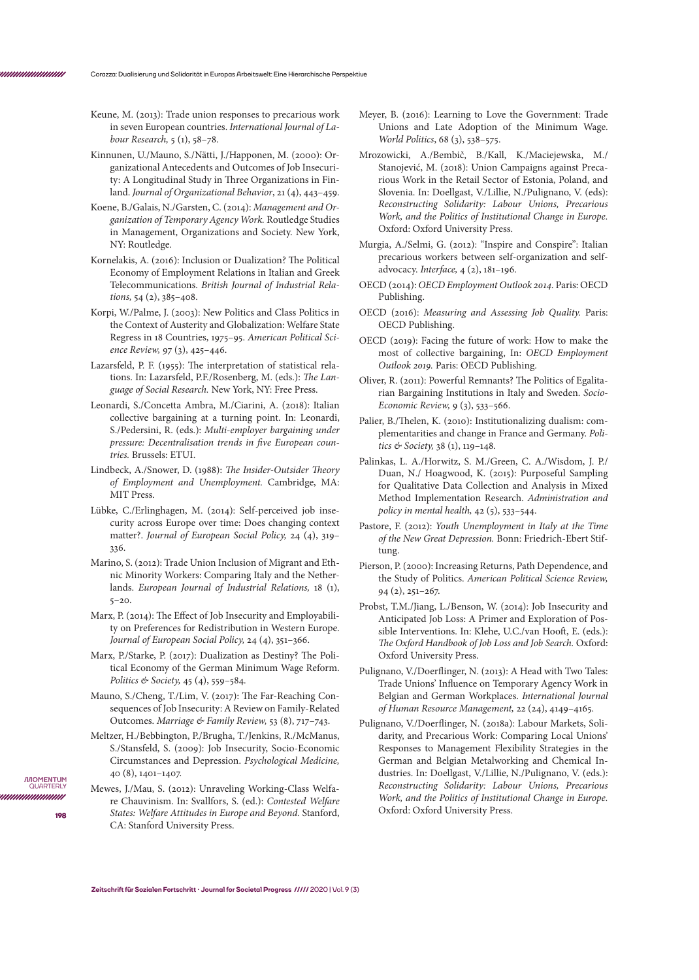- Keune, M. (2013): Trade union responses to precarious work in seven European countries. *International Journal of Labour Research,* 5 (1), 58–78.
- Kinnunen, U./Mauno, S./Nätti, J./Happonen, M. (2000): Organizational Antecedents and Outcomes of Job Insecurity: A Longitudinal Study in Three Organizations in Finland. *Journal of Organizational Behavior*, 21 (4), 443–459.
- Koene, B./Galais, N./Garsten, C. (2014): *Management and Organization of Temporary Agency Work.* Routledge Studies in Management, Organizations and Society. New York, NY: Routledge.
- Kornelakis, A. (2016): Inclusion or Dualization? The Political Economy of Employment Relations in Italian and Greek Telecommunications. *British Journal of Industrial Relations,* 54 (2), 385–408.
- Korpi, W./Palme, J. (2003): New Politics and Class Politics in the Context of Austerity and Globalization: Welfare State Regress in 18 Countries, 1975–95. *American Political Science Review,* 97 (3), 425–446.
- Lazarsfeld, P. F. (1955): The interpretation of statistical relations. In: Lazarsfeld, P.F./Rosenberg, M. (eds.): *The Language of Social Research.* New York, NY: Free Press.
- Leonardi, S./Concetta Ambra, M./Ciarini, A. (2018): Italian collective bargaining at a turning point. In: Leonardi, S./Pedersini, R. (eds.): *Multi-employer bargaining under pressure: Decentralisation trends in five European countries.* Brussels: ETUI.
- Lindbeck, A./Snower, D. (1988): *The Insider-Outsider Theory of Employment and Unemployment.* Cambridge, MA: MIT Press.
- Lübke, C./Erlinghagen, M. (2014): Self-perceived job insecurity across Europe over time: Does changing context matter?. *Journal of European Social Policy,* 24 (4), 319– 336.
- Marino, S. (2012): Trade Union Inclusion of Migrant and Ethnic Minority Workers: Comparing Italy and the Netherlands. *European Journal of Industrial Relations,* 18 (1), 5–20.
- Marx, P. (2014): The Effect of Job Insecurity and Employability on Preferences for Redistribution in Western Europe. *Journal of European Social Policy,* 24 (4), 351–366.
- Marx, P./Starke, P. (2017): Dualization as Destiny? The Political Economy of the German Minimum Wage Reform. *Politics & Society,* 45 (4), 559–584.
- Mauno, S./Cheng, T./Lim, V. (2017): The Far-Reaching Consequences of Job Insecurity: A Review on Family-Related Outcomes. *Marriage & Family Review,* 53 (8), 717–743.
- Meltzer, H./Bebbington, P./Brugha, T./Jenkins, R./McManus, S./Stansfeld, S. (2009): Job Insecurity, Socio-Economic Circumstances and Depression. *Psychological Medicine,*  40 (8), 1401–1407.
- Mewes, J./Mau, S. (2012): Unraveling Working-Class Welfare Chauvinism. In: Svallfors, S. (ed.): *Contested Welfare States: Welfare Attitudes in Europe and Beyond.* Stanford, CA: Stanford University Press.

**198**

*IMOMENTUM* QUARTER unnunnun

- Meyer, B. (2016): Learning to Love the Government: Trade Unions and Late Adoption of the Minimum Wage. *World Politics*, 68 (3), 538–575.
- Mrozowicki, A./Bembič, B./Kall, K./Maciejewska, M./ Stanojević, M. (2018): Union Campaigns against Precarious Work in the Retail Sector of Estonia, Poland, and Slovenia. In: Doellgast, V./Lillie, N./Pulignano, V. (eds): *Reconstructing Solidarity: Labour Unions, Precarious Work, and the Politics of Institutional Change in Europe.*  Oxford: Oxford University Press.
- Murgia, A./Selmi, G. (2012): "Inspire and Conspire": Italian precarious workers between self-organization and selfadvocacy. *Interface,* 4 (2), 181–196.
- OECD (2014): *OECD Employment Outlook 2014.* Paris: OECD Publishing.
- OECD (2016): *Measuring and Assessing Job Quality.* Paris: OECD Publishing.
- OECD (2019): Facing the future of work: How to make the most of collective bargaining, In: *OECD Employment Outlook 2019.* Paris: OECD Publishing.
- Oliver, R. (2011): Powerful Remnants? The Politics of Egalitarian Bargaining Institutions in Italy and Sweden. *Socio-Economic Review,* 9 (3), 533–566.
- Palier, B./Thelen, K. (2010): Institutionalizing dualism: complementarities and change in France and Germany. *Politics & Society,* 38 (1), 119–148.
- Palinkas, L. A./Horwitz, S. M./Green, C. A./Wisdom, J. P./ Duan, N./ Hoagwood, K. (2015): Purposeful Sampling for Qualitative Data Collection and Analysis in Mixed Method Implementation Research. *Administration and policy in mental health,* 42 (5), 533–544.
- Pastore, F. (2012): *Youth Unemployment in Italy at the Time of the New Great Depression.* Bonn: Friedrich-Ebert Stiftung.
- Pierson, P. (2000): Increasing Returns, Path Dependence, and the Study of Politics. *American Political Science Review,*  94 (2), 251–267.
- Probst, T.M./Jiang, L./Benson, W. (2014): Job Insecurity and Anticipated Job Loss: A Primer and Exploration of Possible Interventions. In: Klehe, U.C./van Hooft, E. (eds.): *The Oxford Handbook of Job Loss and Job Search.* Oxford: Oxford University Press.
- Pulignano, V./Doerflinger, N. (2013): A Head with Two Tales: Trade Unions' Influence on Temporary Agency Work in Belgian and German Workplaces. *International Journal of Human Resource Management,* 22 (24), 4149–4165.
- Pulignano, V./Doerflinger, N. (2018a): Labour Markets, Solidarity, and Precarious Work: Comparing Local Unions' Responses to Management Flexibility Strategies in the German and Belgian Metalworking and Chemical Industries. In: Doellgast, V./Lillie, N./Pulignano, V. (eds.): *Reconstructing Solidarity: Labour Unions, Precarious Work, and the Politics of Institutional Change in Europe.*  Oxford: Oxford University Press.